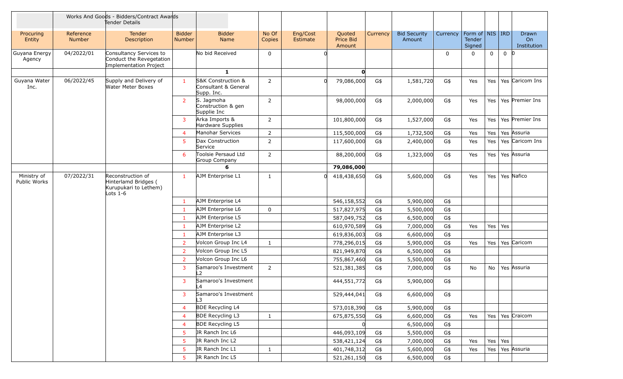|                             |                            | Works And Goods - Bidders/Contract Awards<br>Tender Details                      |                         |                                                          |                 |                      |                                      |          |                               |              |                                    |                 |             |                                        |
|-----------------------------|----------------------------|----------------------------------------------------------------------------------|-------------------------|----------------------------------------------------------|-----------------|----------------------|--------------------------------------|----------|-------------------------------|--------------|------------------------------------|-----------------|-------------|----------------------------------------|
| Procuring<br>Entity         | Reference<br><b>Number</b> | Tender<br><b>Description</b>                                                     | <b>Bidder</b><br>Number | <b>Bidder</b><br>Name                                    | No Of<br>Copies | Eng/Cost<br>Estimate | Quoted<br><b>Price Bid</b><br>Amount | Currency | <b>Bid Security</b><br>Amount | Currency     | Form of NIS RD<br>Tender<br>Signed |                 |             | Drawn<br>O <sub>n</sub><br>Institution |
| Guyana Energy<br>Agency     | 04/2022/01                 | Consultancy Services to<br>Conduct the Revegetation<br>Implementation Project    |                         | No bid Received                                          | $\mathbf 0$     |                      |                                      |          |                               | $\mathbf{0}$ | $\Omega$                           | 0               | $0 \vert 0$ |                                        |
|                             |                            |                                                                                  |                         | $\mathbf{1}$                                             |                 |                      | $\mathbf{0}$                         |          |                               |              |                                    |                 |             |                                        |
| Guyana Water<br>Inc.        | 06/2022/45                 | Supply and Delivery of<br><b>Water Meter Boxes</b>                               | $\mathbf{1}$            | S&K Construction &<br>Consultant & General<br>Supp. Inc. | $\overline{2}$  |                      | 79,086,000                           | G\$      | 1,581,720                     | G\$          | Yes                                | Yes             |             | Yes Caricom Ins                        |
|                             |                            |                                                                                  | 2 <sup>1</sup>          | S. Jagmoha<br>Construction & gen<br>Supplie Inc          | $\overline{2}$  |                      | 98,000,000                           | G\$      | 2,000,000                     | G\$          | Yes                                | Yes             |             | Yes Premier Ins                        |
|                             |                            |                                                                                  | 3 <sup>7</sup>          | Arka Imports &<br>Hardware Supplies                      | $\overline{2}$  |                      | 101,800,000                          | G\$      | 1,527,000                     | G\$          | Yes                                | Yes             |             | Yes Premier Ins                        |
|                             |                            |                                                                                  | 4 <sup>1</sup>          | Manohar Services                                         | $\overline{2}$  |                      | 115,500,000                          | G\$      | 1,732,500                     | G\$          | Yes                                | Yes             |             | Yes Assuria                            |
|                             |                            |                                                                                  | 5                       | Dax Construction<br>Service                              | $\overline{2}$  |                      | 117,600,000                          | G\$      | 2,400,000                     | G\$          | Yes                                | Yes             |             | Yes Caricom Ins                        |
|                             |                            |                                                                                  | 6                       | Toolsie Persaud Ltd<br>Group Company                     | 2               |                      | 88,200,000                           | G\$      | 1,323,000                     | G\$          | Yes                                | Yes             |             | Yes Assuria                            |
|                             |                            |                                                                                  |                         | 6                                                        |                 |                      | 79,086,000                           |          |                               |              |                                    |                 |             |                                        |
| Ministry of<br>Public Works | 07/2022/31                 | Reconstruction of<br>Hinterlamd Bridges (<br>Kurupukari to Lethem)<br>Lots $1-6$ | 1                       | AJM Enterprise L1                                        | 1               |                      | 418,438,650                          | G\$      | 5,600,000                     | G\$          | Yes                                | Yes             |             | Yes Nafico                             |
|                             |                            |                                                                                  | 1                       | AJM Enterprise L4                                        |                 |                      | 546,158,552                          | G\$      | 5,900,000                     | G\$          |                                    |                 |             |                                        |
|                             |                            |                                                                                  | $\mathbf{1}$            | AJM Enterprise L6                                        | $\mathbf 0$     |                      | 517,827,975                          | G\$      | 5,500,000                     | G\$          |                                    |                 |             |                                        |
|                             |                            |                                                                                  | $\mathbf{1}$            | AJM Enterprise L5                                        |                 |                      | 587,049,752                          | G\$      | 6,500,000                     | G\$          |                                    |                 |             |                                        |
|                             |                            |                                                                                  | -1                      | AJM Enterprise L2                                        |                 |                      | 610,970,589                          | G\$      | 7,000,000                     | G\$          | Yes                                | Yes $\vert$ Yes |             |                                        |
|                             |                            |                                                                                  | -1                      | AJM Enterprise L3                                        |                 |                      | 619,836,003                          | G\$      | 6,600,000                     | G\$          |                                    |                 |             |                                        |
|                             |                            |                                                                                  | $\overline{2}$          | Volcon Group Inc L4                                      | $\mathbf{1}$    |                      | 778,296,015                          | G\$      | 5,900,000                     | G\$          | Yes                                | Yes             |             | Yes Caricom                            |
|                             |                            |                                                                                  | $\overline{2}$          | Volcon Group Inc L5                                      |                 |                      | 821,949,870                          | G\$      | 6,500,000                     | G\$          |                                    |                 |             |                                        |
|                             |                            |                                                                                  | $\overline{2}$          | Volcon Group Inc L6                                      |                 |                      | 755,867,460                          | G\$      | 5,500,000                     | G\$          |                                    |                 |             |                                        |
|                             |                            |                                                                                  | 3                       | Samaroo's Investment<br>$\mathsf{L2}$                    | $\overline{2}$  |                      | 521,381,385                          | G\$      | 7,000,000                     | G\$          | No                                 | No              |             | Yes Assuria                            |
|                             |                            |                                                                                  | 3                       | Samaroo's Investment<br>L4                               |                 |                      | 444,551,772                          | G\$      | 5,900,000                     | G\$          |                                    |                 |             |                                        |
|                             |                            |                                                                                  | 3                       | Samaroo's Investment                                     |                 |                      | 529,444,041                          | G\$      | 6,600,000                     | G\$          |                                    |                 |             |                                        |
|                             |                            |                                                                                  | $\overline{4}$          | <b>BDE Recycling L4</b>                                  |                 |                      | 573,018,390                          | G\$      | 5,900,000                     | G\$          |                                    |                 |             |                                        |
|                             |                            |                                                                                  | $\overline{4}$          | <b>BDE Recycling L3</b>                                  | $\mathbf{1}$    |                      | 675,875,550                          | G\$      | 6,600,000                     | G\$          | Yes                                | Yes             |             | Yes Craicom                            |
|                             |                            |                                                                                  | 4                       | <b>BDE Recycling L5</b>                                  |                 |                      |                                      |          | 6,500,000                     | G\$          |                                    |                 |             |                                        |
|                             |                            |                                                                                  | 5                       | JR Ranch Inc L6                                          |                 |                      | 446,093,109                          | G\$      | 5,500,000                     | G\$          |                                    |                 |             |                                        |
|                             |                            |                                                                                  | 5                       | JR Ranch Inc L2                                          |                 |                      | 538,421,124                          | G\$      | 7,000,000                     | G\$          | Yes                                | Yes   Yes       |             |                                        |
|                             |                            |                                                                                  | 5                       | JR Ranch Inc L1                                          | $\mathbf{1}$    |                      | 401,748,312                          | G\$      | 5,600,000                     | G\$          | Yes                                | Yes             |             | Yes Assuria                            |
|                             |                            |                                                                                  | 5                       | JR Ranch Inc L5                                          |                 |                      | 521,261,150                          | G\$      | 6,500,000                     | G\$          |                                    |                 |             |                                        |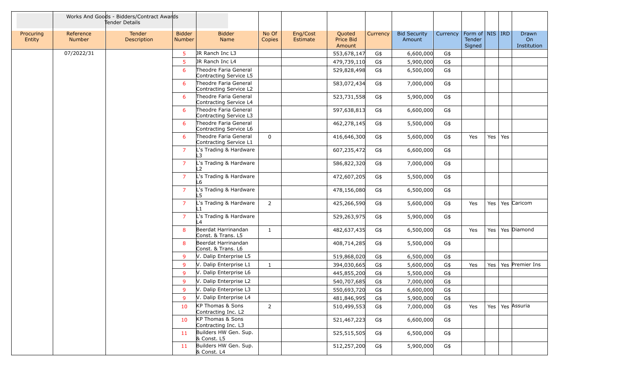|                     |                            | Works And Goods - Bidders/Contract Awards<br>Tender Details |                                |                                                 |                 |                      |                               |          |                               |          |                                                                 |         |                 |                            |
|---------------------|----------------------------|-------------------------------------------------------------|--------------------------------|-------------------------------------------------|-----------------|----------------------|-------------------------------|----------|-------------------------------|----------|-----------------------------------------------------------------|---------|-----------------|----------------------------|
| Procuring<br>Entity | Reference<br><b>Number</b> | <b>Tender</b><br>Description                                | <b>Bidder</b><br><b>Number</b> | <b>Bidder</b><br>Name                           | No Of<br>Copies | Eng/Cost<br>Estimate | Quoted<br>Price Bid<br>Amount | Currency | <b>Bid Security</b><br>Amount | Currency | $\mid$ Form of $\mid$ NIS $\mid$ IRD $\mid$<br>Tender<br>Signed |         |                 | Drawn<br>On<br>Institution |
|                     | 07/2022/31                 |                                                             | 5                              | JR Ranch Inc L3                                 |                 |                      | 553,678,147                   | G\$      | 6,600,000                     | G\$      |                                                                 |         |                 |                            |
|                     |                            |                                                             | 5                              | JR Ranch Inc L4                                 |                 |                      | 479,739,110                   | G\$      | 5,900,000                     | G\$      |                                                                 |         |                 |                            |
|                     |                            |                                                             | 6                              | Theodre Faria General<br>Contracting Service L5 |                 |                      | 529,828,498                   | G\$      | 6,500,000                     | G\$      |                                                                 |         |                 |                            |
|                     |                            |                                                             | 6                              | Theodre Faria General<br>Contracting Service L2 |                 |                      | 583,072,434                   | G\$      | 7,000,000                     | G\$      |                                                                 |         |                 |                            |
|                     |                            |                                                             | 6                              | Theodre Faria General<br>Contracting Service L4 |                 |                      | 523,731,558                   | G\$      | 5,900,000                     | G\$      |                                                                 |         |                 |                            |
|                     |                            |                                                             | 6                              | Theodre Faria General<br>Contracting Service L3 |                 |                      | 597,638,813                   | G\$      | 6,600,000                     | G\$      |                                                                 |         |                 |                            |
|                     |                            |                                                             | 6                              | Theodre Faria General<br>Contracting Service L6 |                 |                      | 462,278,145                   | G\$      | 5,500,000                     | G\$      |                                                                 |         |                 |                            |
|                     |                            |                                                             | 6                              | Theodre Faria General<br>Contracting Service L1 | 0               |                      | 416,646,300                   | G\$      | 5,600,000                     | G\$      | Yes                                                             |         | Yes $\vert$ Yes |                            |
|                     |                            |                                                             | $\overline{7}$                 | L's Trading & Hardware<br>L3                    |                 |                      | 607,235,472                   | G\$      | 6,600,000                     | G\$      |                                                                 |         |                 |                            |
|                     |                            |                                                             | $\overline{7}$                 | L's Trading & Hardware<br>L2                    |                 |                      | 586,822,320                   | G\$      | 7,000,000                     | G\$      |                                                                 |         |                 |                            |
|                     |                            |                                                             | $\overline{7}$                 | L's Trading & Hardware<br>L6                    |                 |                      | 472,607,205                   | G\$      | 5,500,000                     | G\$      |                                                                 |         |                 |                            |
|                     |                            |                                                             | $\overline{7}$                 | L's Trading & Hardware<br>L5                    |                 |                      | 478,156,080                   | G\$      | 6,500,000                     | G\$      |                                                                 |         |                 |                            |
|                     |                            |                                                             | $\overline{7}$                 | L's Trading & Hardware                          | $\overline{2}$  |                      | 425,266,590                   | G\$      | 5,600,000                     | G\$      | Yes                                                             |         |                 | Yes   Yes   Caricom        |
|                     |                            |                                                             | $\overline{7}$                 | L's Trading & Hardware<br>4 ا                   |                 |                      | 529,263,975                   | G\$      | 5,900,000                     | G\$      |                                                                 |         |                 |                            |
|                     |                            |                                                             | 8                              | Beerdat Harrinandan<br>Const. & Trans. L5       | 1               |                      | 482,637,435                   | G\$      | 6,500,000                     | G\$      | Yes                                                             | Yes $ $ |                 | Yes Diamond                |
|                     |                            |                                                             | 8                              | Beerdat Harrinandan<br>Const. & Trans. L6       |                 |                      | 408,714,285                   | G\$      | 5,500,000                     | G\$      |                                                                 |         |                 |                            |
|                     |                            |                                                             | 9                              | V. Dalip Enterprise L5                          |                 |                      | 519,868,020                   | G\$      | 6,500,000                     | G\$      |                                                                 |         |                 |                            |
|                     |                            |                                                             | 9                              | V. Dalip Enterprise L1                          | $\mathbf{1}$    |                      | 394,030,665                   | G\$      | 5,600,000                     | G\$      | Yes                                                             | Yes     |                 | Yes Premier Ins            |
|                     |                            |                                                             | 9                              | V. Dalip Enterprise L6                          |                 |                      | 445,855,200                   | G\$      | 5,500,000                     | G\$      |                                                                 |         |                 |                            |
|                     |                            |                                                             | 9                              | V. Dalip Enterprise L2                          |                 |                      | 540,707,685                   | G\$      | 7,000,000                     | G\$      |                                                                 |         |                 |                            |
|                     |                            |                                                             | 9                              | V. Dalip Enterprise L3                          |                 |                      | 550,693,720                   | G\$      | 6,600,000                     | G\$      |                                                                 |         |                 |                            |
|                     |                            |                                                             | 9                              | V. Dalip Enterprise L4                          |                 |                      | 481,846,995                   | G\$      | 5,900,000                     | G\$      |                                                                 |         |                 |                            |
|                     |                            |                                                             | 10                             | KP Thomas & Sons<br>Contracting Inc. L2         | $2^{\circ}$     |                      | 510,499,553                   | G\$      | 7,000,000                     | G\$      | Yes                                                             |         |                 | Yes   Yes   Assuria        |
|                     |                            |                                                             | 10                             | KP Thomas & Sons<br>Contracting Inc. L3         |                 |                      | 521,467,223                   | G\$      | 6,600,000                     | G\$      |                                                                 |         |                 |                            |
|                     |                            |                                                             | 11                             | Builders HW Gen. Sup.<br>& Const. L5            |                 |                      | 525,515,505                   | G\$      | 6,500,000                     | G\$      |                                                                 |         |                 |                            |
|                     |                            |                                                             | 11                             | Builders HW Gen. Sup.<br>& Const. L4            |                 |                      | 512,257,200                   | G\$      | 5,900,000                     | G\$      |                                                                 |         |                 |                            |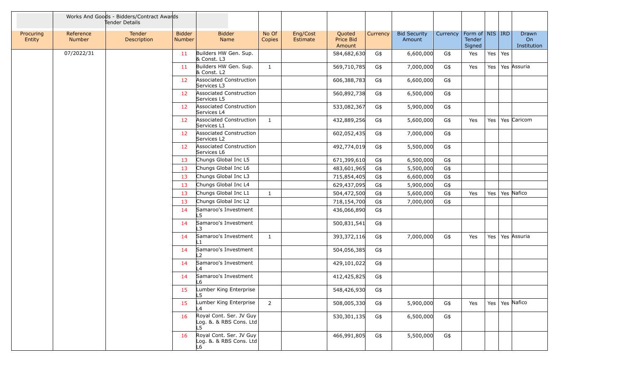|                     |                            | Works And Goods - Bidders/Contract Awards<br>Tender Details |                         |                                                          |                 |                      |                               |                 |                               |          |                                     |     |     |                                   |
|---------------------|----------------------------|-------------------------------------------------------------|-------------------------|----------------------------------------------------------|-----------------|----------------------|-------------------------------|-----------------|-------------------------------|----------|-------------------------------------|-----|-----|-----------------------------------|
| Procuring<br>Entity | Reference<br><b>Number</b> | Tender<br>Description                                       | <b>Bidder</b><br>Number | <b>Bidder</b><br>Name                                    | No Of<br>Copies | Eng/Cost<br>Estimate | Quoted<br>Price Bid<br>Amount | <b>Currency</b> | <b>Bid Security</b><br>Amount | Currency | Form of NIS IRD<br>Tender<br>Signed |     |     | Drawn<br><b>On</b><br>Institution |
|                     | 07/2022/31                 |                                                             | 11                      | Builders HW Gen. Sup.<br>& Const. L3                     |                 |                      | 584,682,630                   | G\$             | 6,600,000                     | G\$      | Yes                                 | Yes | Yes |                                   |
|                     |                            |                                                             | 11                      | Builders HW Gen. Sup.<br>& Const. L2                     | $\mathbf{1}$    |                      | 569,710,785                   | G\$             | 7,000,000                     | G\$      | Yes                                 | Yes |     | Yes Assuria                       |
|                     |                            |                                                             | 12                      | Associated Construction<br>Services L3                   |                 |                      | 606,388,783                   | G\$             | 6,600,000                     | G\$      |                                     |     |     |                                   |
|                     |                            |                                                             | 12                      | Associated Construction<br>Services L5                   |                 |                      | 560,892,738                   | G\$             | 6,500,000                     | G\$      |                                     |     |     |                                   |
|                     |                            |                                                             | 12                      | Associated Construction<br>Services L4                   |                 |                      | 533,082,367                   | G\$             | 5,900,000                     | G\$      |                                     |     |     |                                   |
|                     |                            |                                                             | 12 <sup>7</sup>         | Associated Construction<br>Services L1                   | 1               |                      | 432,889,256                   | G\$             | 5,600,000                     | G\$      | Yes                                 | Yes |     | Yes Caricom                       |
|                     |                            |                                                             | 12                      | Associated Construction<br>Services L2                   |                 |                      | 602,052,435                   | G\$             | 7,000,000                     | G\$      |                                     |     |     |                                   |
|                     |                            |                                                             | 12                      | Associated Construction<br>Services L6                   |                 |                      | 492,774,019                   | G\$             | 5,500,000                     | G\$      |                                     |     |     |                                   |
|                     |                            |                                                             | 13                      | Chungs Global Inc L5                                     |                 |                      | 671,399,610                   | G\$             | 6,500,000                     | G\$      |                                     |     |     |                                   |
|                     |                            |                                                             | 13                      | Chungs Global Inc L6                                     |                 |                      | 483,601,965                   | G\$             | 5,500,000                     | G\$      |                                     |     |     |                                   |
|                     |                            |                                                             | 13                      | Chungs Global Inc L3                                     |                 |                      | 715,854,405                   | G\$             | 6,600,000                     | G\$      |                                     |     |     |                                   |
|                     |                            |                                                             | 13                      | Chungs Global Inc L4                                     |                 |                      | 629,437,095                   | G\$             | 5,900,000                     | G\$      |                                     |     |     |                                   |
|                     |                            |                                                             | 13                      | Chungs Global Inc L1                                     | $\mathbf{1}$    |                      | 504,472,500                   | G\$             | 5,600,000                     | G\$      | Yes                                 | Yes |     | Yes Nafico                        |
|                     |                            |                                                             | 13                      | Chungs Global Inc L2                                     |                 |                      | 718,154,700                   | $G\$            | 7,000,000                     | G\$      |                                     |     |     |                                   |
|                     |                            |                                                             | 14                      | Samaroo's Investment                                     |                 |                      | 436,066,890                   | G\$             |                               |          |                                     |     |     |                                   |
|                     |                            |                                                             | 14                      | Samaroo's Investment<br>۱3                               |                 |                      | 500,831,541                   | G\$             |                               |          |                                     |     |     |                                   |
|                     |                            |                                                             | 14                      | Samaroo's Investment<br>l 1                              | 1               |                      | 393,372,116                   | G\$             | 7,000,000                     | G\$      | Yes                                 | Yes |     | Yes Assuria                       |
|                     |                            |                                                             | 14                      | Samaroo's Investment                                     |                 |                      | 504,056,385                   | G\$             |                               |          |                                     |     |     |                                   |
|                     |                            |                                                             | 14                      | Samaroo's Investment<br>L4                               |                 |                      | 429,101,022                   | G\$             |                               |          |                                     |     |     |                                   |
|                     |                            |                                                             | 14                      | Samaroo's Investment<br>L6                               |                 |                      | 412,425,825                   | G\$             |                               |          |                                     |     |     |                                   |
|                     |                            |                                                             | 15                      | Lumber King Enterprise<br>L5                             |                 |                      | 548,426,930                   | G\$             |                               |          |                                     |     |     |                                   |
|                     |                            |                                                             | 15                      | Lumber King Enterprise                                   | $2^{\circ}$     |                      | 508,005,330                   | G\$             | 5,900,000                     | G\$      | Yes                                 |     |     | Yes   Yes   Nafico                |
|                     |                            |                                                             | 16                      | Royal Cont. Ser. JV Guy<br>Log. &. & RBS Cons. Ltd<br>L5 |                 |                      | 530,301,135                   | G\$             | 6,500,000                     | G\$      |                                     |     |     |                                   |
|                     |                            |                                                             | 16                      | Royal Cont. Ser. JV Guy<br>Log. &. & RBS Cons. Ltd<br>L6 |                 |                      | 466,991,805                   | G\$             | 5,500,000                     | G\$      |                                     |     |     |                                   |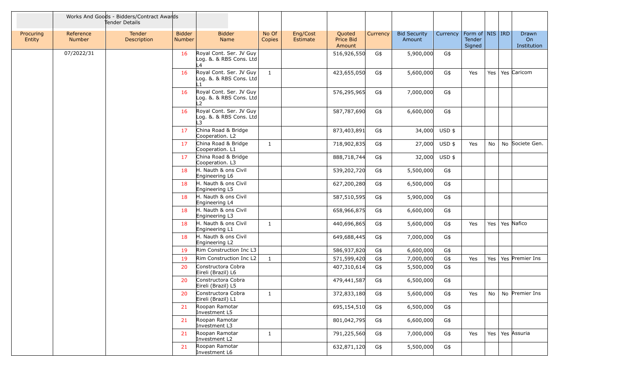|                     |                     | Works And Goods - Bidders/Contract Awards<br>Tender Details |                                |                                                          |                 |                      |                               |          |                               |               |                                                            |     |                                   |
|---------------------|---------------------|-------------------------------------------------------------|--------------------------------|----------------------------------------------------------|-----------------|----------------------|-------------------------------|----------|-------------------------------|---------------|------------------------------------------------------------|-----|-----------------------------------|
| Procuring<br>Entity | Reference<br>Number | Tender<br>Description                                       | <b>Bidder</b><br><b>Number</b> | <b>Bidder</b><br>Name                                    | No Of<br>Copies | Eng/Cost<br>Estimate | Quoted<br>Price Bid<br>Amount | Currency | <b>Bid Security</b><br>Amount | Currency      | Form of $\vert$ NIS $\vert$ IRD<br><b>Tender</b><br>Signed |     | Drawn<br><b>On</b><br>Institution |
|                     | 07/2022/31          |                                                             | 16                             | Royal Cont. Ser. JV Guy<br>Log. &. & RBS Cons. Ltd<br>L4 |                 |                      | 516,926,550                   | G\$      | 5,900,000                     | G\$           |                                                            |     |                                   |
|                     |                     |                                                             | 16                             | Royal Cont. Ser. JV Guy<br>Log. &. & RBS Cons. Ltd       | $\mathbf{1}$    |                      | 423,655,050                   | G\$      | 5,600,000                     | G\$           | Yes                                                        | Yes | Yes Caricom                       |
|                     |                     |                                                             | 16                             | Royal Cont. Ser. JV Guy<br>Log. &. & RBS Cons. Ltd<br>L2 |                 |                      | 576,295,965                   | G\$      | 7,000,000                     | G\$           |                                                            |     |                                   |
|                     |                     |                                                             | 16                             | Royal Cont. Ser. JV Guy<br>Log. &. & RBS Cons. Ltd<br>L3 |                 |                      | 587,787,690                   | G\$      | 6,600,000                     | G\$           |                                                            |     |                                   |
|                     |                     |                                                             | 17                             | China Road & Bridge<br>Cooperation. L2                   |                 |                      | 873,403,891                   | G\$      |                               | 34,000 USD \$ |                                                            |     |                                   |
|                     |                     |                                                             | 17                             | China Road & Bridge<br>Cooperation. L1                   | 1               |                      | 718,902,835                   | G\$      | 27,000                        | $USD$ \$      | Yes                                                        | No  | No Societe Gen.                   |
|                     |                     |                                                             | 17                             | China Road & Bridge<br>Cooperation. L3                   |                 |                      | 888,718,744                   | G\$      | 32,000                        | USD \$        |                                                            |     |                                   |
|                     |                     |                                                             | 18                             | H. Nauth & ons Civil<br>Engineering L6                   |                 |                      | 539,202,720                   | G\$      | 5,500,000                     | G\$           |                                                            |     |                                   |
|                     |                     |                                                             | 18                             | H. Nauth & ons Civil<br>Engineering L5                   |                 |                      | 627,200,280                   | G\$      | 6,500,000                     | G\$           |                                                            |     |                                   |
|                     |                     |                                                             | 18                             | H. Nauth & ons Civil<br>Engineering L4                   |                 |                      | 587,510,595                   | G\$      | 5,900,000                     | G\$           |                                                            |     |                                   |
|                     |                     |                                                             | 18                             | H. Nauth & ons Civil<br>Engineering L3                   |                 |                      | 658,966,875                   | G\$      | 6,600,000                     | G\$           |                                                            |     |                                   |
|                     |                     |                                                             | 18                             | H. Nauth & ons Civil<br>Engineering L1                   | 1               |                      | 440,696,865                   | G\$      | 5,600,000                     | G\$           | Yes                                                        | Yes | Yes Nafico                        |
|                     |                     |                                                             | 18                             | H. Nauth & ons Civil<br>Engineering L2                   |                 |                      | 649,688,445                   | G\$      | 7,000,000                     | G\$           |                                                            |     |                                   |
|                     |                     |                                                             | 19                             | Rim Construction Inc L3                                  |                 |                      | 586,937,820                   | G\$      | 6,600,000                     | G\$           |                                                            |     |                                   |
|                     |                     |                                                             | 19                             | Rim Construction Inc L2                                  | $\mathbf{1}$    |                      | 571,599,420                   | G\$      | 7,000,000                     | G\$           | Yes                                                        | Yes | Yes Premier Ins                   |
|                     |                     |                                                             | 20                             | Constructora Cobra<br>Eireli (Brazil) L6                 |                 |                      | 407,310,614                   | G\$      | 5,500,000                     | G\$           |                                                            |     |                                   |
|                     |                     |                                                             | 20                             | Constructora Cobra<br>Eireli (Brazil) L5                 |                 |                      | 479,441,587                   | G\$      | 6,500,000                     | G\$           |                                                            |     |                                   |
|                     |                     |                                                             | 20                             | Constructora Cobra<br>Eireli (Brazil) L1                 | 1               |                      | 372,833,180                   | G\$      | 5,600,000                     | G\$           | Yes                                                        | No  | No Premier Ins                    |
|                     |                     |                                                             | 21                             | Roopan Ramotar<br>Investment L5                          |                 |                      | 695,154,510                   | G\$      | 6,500,000                     | G\$           |                                                            |     |                                   |
|                     |                     |                                                             | 21                             | Roopan Ramotar<br>Investment L3                          |                 |                      | 801,042,795                   | G\$      | 6,600,000                     | G\$           |                                                            |     |                                   |
|                     |                     |                                                             | 21                             | Roopan Ramotar<br>Investment L2                          | $\mathbf{1}$    |                      | 791,225,560                   | G\$      | 7,000,000                     | G\$           | Yes                                                        |     | Yes   Yes   Assuria               |
|                     |                     |                                                             | 21                             | Roopan Ramotar<br>Investment L6                          |                 |                      | 632,871,120                   | G\$      | 5,500,000                     | G\$           |                                                            |     |                                   |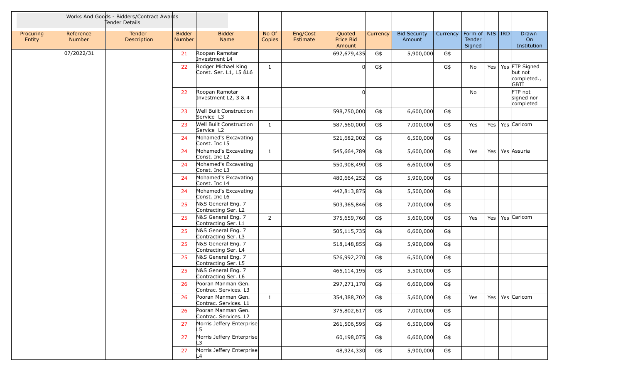|                     |                            | Works And Goods - Bidders/Contract Awards<br>Tender Details |                                |                                               |                 |                      |                               |          |                               |          |                                                     |         |                                                                 |
|---------------------|----------------------------|-------------------------------------------------------------|--------------------------------|-----------------------------------------------|-----------------|----------------------|-------------------------------|----------|-------------------------------|----------|-----------------------------------------------------|---------|-----------------------------------------------------------------|
| Procuring<br>Entity | Reference<br><b>Number</b> | Tender<br>Description                                       | <b>Bidder</b><br><b>Number</b> | <b>Bidder</b><br>Name                         | No Of<br>Copies | Eng/Cost<br>Estimate | Quoted<br>Price Bid<br>Amount | Currency | <b>Bid Security</b><br>Amount | Currency | Form of $\vert$ NIS $\vert$ IRD<br>Tender<br>Signed |         | Drawn<br>On<br>Institution                                      |
|                     | 07/2022/31                 |                                                             | 21                             | Roopan Ramotar<br>Investment L4               |                 |                      | 692,679,435                   | G\$      | 5,900,000                     | G\$      |                                                     |         |                                                                 |
|                     |                            |                                                             | 22                             | Rodger Michael King<br>Const. Ser. L1, L5 &L6 | $\mathbf{1}$    |                      | 0l                            | G\$      |                               | G\$      | No                                                  |         | Yes   Yes   FTP Signed<br>but not<br>completed.,<br><b>GBTI</b> |
|                     |                            |                                                             | 22                             | Roopan Ramotar<br>Investment L2, 3 & 4        |                 |                      |                               |          |                               |          | No                                                  |         | FTP not<br>signed nor<br>completed                              |
|                     |                            |                                                             | 23                             | Well Built Construction<br>Service L3         |                 |                      | 598,750,000                   | G\$      | 6,600,000                     | G\$      |                                                     |         |                                                                 |
|                     |                            |                                                             | 23                             | Well Built Construction<br>Service L2         | $\mathbf{1}$    |                      | 587,560,000                   | G\$      | 7,000,000                     | G\$      | Yes                                                 | Yes     | Yes Caricom                                                     |
|                     |                            |                                                             | 24                             | Mohamed's Excavating<br>Const. Inc L5         |                 |                      | 521,682,002                   | G\$      | 6,500,000                     | G\$      |                                                     |         |                                                                 |
|                     |                            |                                                             | 24                             | Mohamed's Excavating<br>Const. Inc L2         | $\mathbf{1}$    |                      | 545,664,789                   | G\$      | 5,600,000                     | G\$      | Yes                                                 | Yes $ $ | Yes Assuria                                                     |
|                     |                            |                                                             | 24                             | Mohamed's Excavating<br>Const. Inc L3         |                 |                      | 550,908,490                   | G\$      | 6,600,000                     | G\$      |                                                     |         |                                                                 |
|                     |                            |                                                             | 24                             | Mohamed's Excavating<br>Const. Inc L4         |                 |                      | 480,664,252                   | G\$      | 5,900,000                     | G\$      |                                                     |         |                                                                 |
|                     |                            |                                                             | 24                             | Mohamed's Excavating<br>Const. Inc L6         |                 |                      | 442,813,875                   | G\$      | 5,500,000                     | G\$      |                                                     |         |                                                                 |
|                     |                            |                                                             | 25                             | N&S General Eng. 7<br>Contracting Ser. L2     |                 |                      | 503,365,846                   | G\$      | 7,000,000                     | G\$      |                                                     |         |                                                                 |
|                     |                            |                                                             | 25                             | N&S General Eng. 7<br>Contracting Ser. L1     | $\overline{2}$  |                      | 375,659,760                   | G\$      | 5,600,000                     | G\$      | Yes                                                 |         | Yes   Yes   Caricom                                             |
|                     |                            |                                                             | 25                             | N&S General Eng. 7<br>Contracting Ser. L3     |                 |                      | 505,115,735                   | G\$      | 6,600,000                     | G\$      |                                                     |         |                                                                 |
|                     |                            |                                                             | 25                             | N&S General Eng. 7<br>Contracting Ser. L4     |                 |                      | 518,148,855                   | G\$      | 5,900,000                     | G\$      |                                                     |         |                                                                 |
|                     |                            |                                                             | 25                             | N&S General Eng. 7<br>Contracting Ser. L5     |                 |                      | 526,992,270                   | G\$      | 6,500,000                     | G\$      |                                                     |         |                                                                 |
|                     |                            |                                                             | 25                             | N&S General Eng. 7<br>Contracting Ser. L6     |                 |                      | 465,114,195                   | G\$      | 5,500,000                     | G\$      |                                                     |         |                                                                 |
|                     |                            |                                                             | 26                             | Pooran Manman Gen.<br>Contrac. Services. L3   |                 |                      | 297,271,170                   | G\$      | 6,600,000                     | G\$      |                                                     |         |                                                                 |
|                     |                            |                                                             | 26                             | Pooran Manman Gen.<br>Contrac. Services. L1   | $\mathbf{1}$    |                      | 354,388,702                   | G\$      | 5,600,000                     | G\$      | Yes                                                 |         | Yes   Yes   Caricom                                             |
|                     |                            |                                                             | 26                             | Pooran Manman Gen.<br>Contrac. Services. L2   |                 |                      | 375,802,617                   | G\$      | 7,000,000                     | G\$      |                                                     |         |                                                                 |
|                     |                            |                                                             | 27                             | Morris Jeffery Enterprise<br>L5.              |                 |                      | 261,506,595                   | G\$      | 6,500,000                     | G\$      |                                                     |         |                                                                 |
|                     |                            |                                                             | 27                             | Morris Jeffery Enterprise<br>L3               |                 |                      | 60,198,075                    | G\$      | 6,600,000                     | G\$      |                                                     |         |                                                                 |
|                     |                            |                                                             | 27                             | Morris Jeffery Enterprise<br>L4               |                 |                      | 48,924,330                    | G\$      | 5,900,000                     | G\$      |                                                     |         |                                                                 |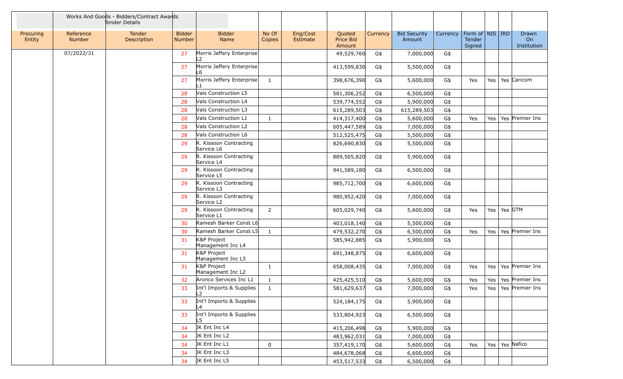|                     |                            | Works And Goods - Bidders/Contract Awards<br>Tender Details |                                |                                      |                 |                      |                               |          |                               |          |                                    |     |                 |                            |
|---------------------|----------------------------|-------------------------------------------------------------|--------------------------------|--------------------------------------|-----------------|----------------------|-------------------------------|----------|-------------------------------|----------|------------------------------------|-----|-----------------|----------------------------|
| Procuring<br>Entity | Reference<br><b>Number</b> | <b>Tender</b><br>Description                                | <b>Bidder</b><br><b>Number</b> | <b>Bidder</b><br>Name                | No Of<br>Copies | Eng/Cost<br>Estimate | Quoted<br>Price Bid<br>Amount | Currency | <b>Bid Security</b><br>Amount | Currency | Form of NIS RD<br>Tender<br>Signed |     |                 | Drawn<br>On<br>Institution |
|                     | 07/2022/31                 |                                                             | 27                             | Morris Jeffery Enterprise<br>L2      |                 |                      | 49,529,760                    | G\$      | 7,000,000                     | G\$      |                                    |     |                 |                            |
|                     |                            |                                                             | 27                             | Morris Jeffery Enterprise<br>L6      |                 |                      | 413,599,830                   | G\$      | 5,500,000                     | G\$      |                                    |     |                 |                            |
|                     |                            |                                                             | 27                             | Morris Jeffery Enterprise<br>L1      | 1               |                      | 398,676,390                   | G\$      | 5,600,000                     | G\$      | Yes                                | Yes |                 | Yes Caricom                |
|                     |                            |                                                             | 28                             | Vals Construction L5                 |                 |                      | 581,306,252                   | G\$      | 6,500,000                     | G\$      |                                    |     |                 |                            |
|                     |                            |                                                             | 28                             | Vals Construction L4                 |                 |                      | 539,774,552                   | G\$      | 5,900,000                     | G\$      |                                    |     |                 |                            |
|                     |                            |                                                             | 28                             | Vals Construction L3                 |                 |                      | 615,289,503                   | G\$      | 615,289,503                   | G\$      |                                    |     |                 |                            |
|                     |                            |                                                             | 28                             | Vals Construction L1                 | $\mathbf{1}$    |                      | 414,317,400                   | G\$      | 5,600,000                     | G\$      | Yes                                | Yes |                 | Yes Premier Ins            |
|                     |                            |                                                             | 28                             | Vals Construction L2                 |                 |                      | 605,447,589                   | G\$      | 7,000,000                     | G\$      |                                    |     |                 |                            |
|                     |                            |                                                             | 28                             | Vals Construction L6                 |                 |                      | 512,525,475                   | G\$      | 5,500,000                     | G\$      |                                    |     |                 |                            |
|                     |                            |                                                             | 29                             | R. Kissoon Contracting<br>Service L6 |                 |                      | 826,690,830                   | G\$      | 5,500,000                     | G\$      |                                    |     |                 |                            |
|                     |                            |                                                             | 29                             | R. Kissoon Contracting<br>Service L4 |                 |                      | 889,505,820                   | G\$      | 5,900,000                     | G\$      |                                    |     |                 |                            |
|                     |                            |                                                             | 29                             | R. Kissoon Contracting<br>Service L5 |                 |                      | 941,589,180                   | G\$      | 6,500,000                     | G\$      |                                    |     |                 |                            |
|                     |                            |                                                             | 29                             | R. Kissoon Contracting<br>Service L3 |                 |                      | 985,712,700                   | G\$      | 6,600,000                     | G\$      |                                    |     |                 |                            |
|                     |                            |                                                             | 29                             | R. Kissoon Contracting<br>Service L2 |                 |                      | 980,952,420                   | G\$      | 7,000,000                     | G\$      |                                    |     |                 |                            |
|                     |                            |                                                             | 29                             | R. Kissoon Contracting<br>Service L1 | 2               |                      | 605,029,740                   | G\$      | 5,600,000                     | G\$      | Yes                                |     | Yes   Yes   GTM |                            |
|                     |                            |                                                             | 30                             | Ramesh Barker Const L6               |                 |                      | 403,018,140                   | G\$      | 5,500,000                     | G\$      |                                    |     |                 |                            |
|                     |                            |                                                             | 30                             | Ramesh Barker Const L5               | 1               |                      | 479,532,270                   | G\$      | 6,500,000                     | G\$      | Yes                                |     |                 | Yes   Yes   Premier Ins    |
|                     |                            |                                                             | 31                             | K&P Project<br>Management Inc L4     |                 |                      | 585,942,885                   | G\$      | 5,900,000                     | G\$      |                                    |     |                 |                            |
|                     |                            |                                                             | 31                             | K&P Project<br>Management Inc L3     |                 |                      | 691,348,875                   | G\$      | 6,600,000                     | G\$      |                                    |     |                 |                            |
|                     |                            |                                                             | 31                             | K&P Project<br>Management Inc L2     | 1               |                      | 658,008,435                   | G\$      | 7,000,000                     | G\$      | Yes                                |     |                 | Yes   Yes   Premier Ins    |
|                     |                            |                                                             | 32                             | Aronco Services Inc L1               | $\mathbf{1}$    |                      | 425,425,510                   | G\$      | 5,600,000                     | G\$      | Yes                                |     |                 | Yes   Yes   Premier Ins    |
|                     |                            |                                                             | 33                             | Int'l Imports & Supplies<br>L2       | $\mathbf{1}$    |                      | 581,629,637                   | G\$      | 7,000,000                     | G\$      | Yes                                |     |                 | Yes   Yes   Premier Ins    |
|                     |                            |                                                             | 33                             | Int'l Imports & Supplies             |                 |                      | 524,184,175                   | G\$      | 5,900,000                     | G\$      |                                    |     |                 |                            |
|                     |                            |                                                             | 33                             | Int'l Imports & Supplies<br>L5       |                 |                      | 533,804,923                   | G\$      | 6,500,000                     | G\$      |                                    |     |                 |                            |
|                     |                            |                                                             | 34                             | JK Ent Inc L4                        |                 |                      | 415,206,498                   | G\$      | 5,900,000                     | G\$      |                                    |     |                 |                            |
|                     |                            |                                                             | 34                             | JK Ent Inc L2                        |                 |                      | 483,962,031                   | G\$      | 7,000,000                     | G\$      |                                    |     |                 |                            |
|                     |                            |                                                             | 34                             | JK Ent Inc L1                        | 0               |                      | 357,419,170                   | G\$      | 5,600,000                     | G\$      | Yes                                |     |                 | Yes   Yes   Nafico         |
|                     |                            |                                                             | 34                             | JK Ent Inc L3                        |                 |                      | 484,678,068                   | G\$      | 6,600,000                     | G\$      |                                    |     |                 |                            |
|                     |                            |                                                             | 34                             | JK Ent Inc L5                        |                 |                      | 453,517,533                   | G\$      | 6,500,000                     | G\$      |                                    |     |                 |                            |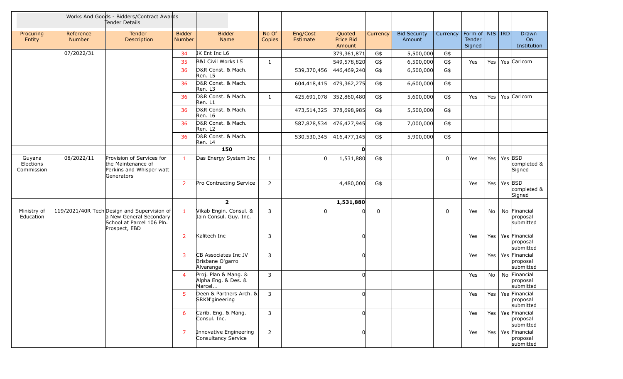|                                   |                            | Works And Goods - Bidders/Contract Awards<br>Tender Details                                                          |                                |                                                       |                 |                      |                               |             |                               |             |                                         |     |                   |                                                |
|-----------------------------------|----------------------------|----------------------------------------------------------------------------------------------------------------------|--------------------------------|-------------------------------------------------------|-----------------|----------------------|-------------------------------|-------------|-------------------------------|-------------|-----------------------------------------|-----|-------------------|------------------------------------------------|
| Procuring<br>Entity               | Reference<br><b>Number</b> | Tender<br>Description                                                                                                | <b>Bidder</b><br><b>Number</b> | <b>Bidder</b><br>Name                                 | No Of<br>Copies | Eng/Cost<br>Estimate | Quoted<br>Price Bid<br>Amount | Currency    | <b>Bid Security</b><br>Amount | Currency    | Form of   NIS   IRD<br>Tender<br>Signed |     |                   | Drawn<br>On<br>Institution                     |
|                                   | 07/2022/31                 |                                                                                                                      | 34                             | JK Ent Inc L6                                         |                 |                      | 379,361,871                   | G\$         | 5,500,000                     | G\$         |                                         |     |                   |                                                |
|                                   |                            |                                                                                                                      | 35                             | B&J Civil Works L5                                    | $\mathbf{1}$    |                      | 549,578,820                   | G\$         | 6,500,000                     | G\$         | Yes                                     |     |                   | Yes   Yes   Caricom                            |
|                                   |                            |                                                                                                                      | 36                             | D&R Const. & Mach.<br>Ren. L5                         |                 | 539,370,456          | 446,469,240                   | G\$         | 6,500,000                     | G\$         |                                         |     |                   |                                                |
|                                   |                            |                                                                                                                      | 36                             | D&R Const. & Mach.<br>Ren. L3                         |                 | 604,418,415          | 479,362,275                   | G\$         | 6,600,000                     | G\$         |                                         |     |                   |                                                |
|                                   |                            |                                                                                                                      | 36                             | D&R Const. & Mach.<br>Ren. L1                         | $\mathbf{1}$    | 425,691,078          | 352,860,480                   | G\$         | 5,600,000                     | G\$         | Yes                                     | Yes |                   | Yes Caricom                                    |
|                                   |                            |                                                                                                                      | 36                             | D&R Const. & Mach.<br>Ren. L6                         |                 | 473,514,325          | 378,698,985                   | G\$         | 5,500,000                     | G\$         |                                         |     |                   |                                                |
|                                   |                            |                                                                                                                      | 36                             | D&R Const. & Mach.<br>Ren. L2                         |                 | 587,828,534          | 476,427,945                   | G\$         | 7,000,000                     | G\$         |                                         |     |                   |                                                |
|                                   |                            |                                                                                                                      | 36                             | D&R Const. & Mach.<br>Ren. L4                         |                 | 530,530,345          | 416,477,145                   | G\$         | 5,900,000                     | G\$         |                                         |     |                   |                                                |
|                                   |                            |                                                                                                                      |                                | 150                                                   |                 |                      | O                             |             |                               |             |                                         |     |                   |                                                |
| Guyana<br>Elections<br>Commission | 08/2022/11                 | Provision of Services for<br>the Maintenance of<br>Perkins and Whisper watt<br>Generators                            | $\mathbf{1}$                   | Das Energy System Inc                                 | 1               |                      | 1,531,880                     | G\$         |                               | $\mathbf 0$ | Yes                                     |     | Yes   Yes $ $ BSD | completed &<br>Signed                          |
|                                   |                            |                                                                                                                      | $\overline{2}$                 | Pro Contracting Service                               | $\overline{2}$  |                      | 4,480,000                     | G\$         |                               |             | Yes                                     |     | Yes   Yes $ $ BSD | completed &<br>Signed                          |
|                                   |                            |                                                                                                                      |                                | $\overline{2}$                                        |                 |                      | 1,531,880                     |             |                               |             |                                         |     |                   |                                                |
| Ministry of<br>Education          |                            | 119/2021/40R Tech Design and Supervision of<br>a New General Secondary<br>School at Parcel 106 Pln.<br>Prospect, EBD | $\mathbf{1}$                   | Vikab Engin. Consul. &<br>Jain Consul. Guy. Inc.      | 3               |                      |                               | $\mathbf 0$ |                               | $\mathbf 0$ | Yes                                     | No  |                   | No Financial<br>proposal<br>submitted          |
|                                   |                            |                                                                                                                      | $\overline{2}$                 | Kalitech Inc                                          | 3               |                      |                               |             |                               |             | Yes                                     |     |                   | Yes   Yes   Financial<br>proposal<br>submitted |
|                                   |                            |                                                                                                                      | $\overline{3}$                 | CB Associates Inc JV<br>Brisbane O'garro<br>Alvaranga | 3               |                      |                               |             |                               |             | Yes                                     |     |                   | Yes   Yes   Financial<br>proposal<br>submitted |
|                                   |                            |                                                                                                                      | $\overline{4}$                 | Proj. Plan & Mang. &<br>Alpha Eng. & Des. &<br>Marcel | 3               |                      |                               |             |                               |             | Yes                                     | No  |                   | No Financial<br>proposal<br>submitted          |
|                                   |                            |                                                                                                                      | 5                              | Deen & Partners Arch. &<br>SRKN'gineering             | 3               |                      |                               |             |                               |             | Yes                                     |     |                   | Yes   Yes   Financial<br>proposal<br>submitted |
|                                   |                            |                                                                                                                      | 6                              | Carib. Eng. & Mang.<br>Consul. Inc.                   | 3               |                      |                               |             |                               |             | Yes                                     |     |                   | Yes   Yes   Financial<br>proposal<br>submitted |
|                                   |                            |                                                                                                                      | $\overline{7}$                 | Innovative Engineering<br>Consultancy Service         | $\overline{2}$  |                      |                               |             |                               |             | Yes                                     |     |                   | Yes   Yes   Financial<br>proposal<br>submitted |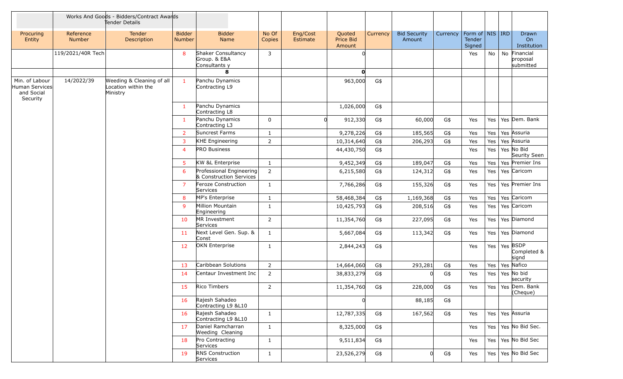|                                                            |                            | Works And Goods - Bidders/Contract Awards<br>Tender Details  |                         |                                                     |                 |                      |                               |          |                               |          |                                           |     |                                          |
|------------------------------------------------------------|----------------------------|--------------------------------------------------------------|-------------------------|-----------------------------------------------------|-----------------|----------------------|-------------------------------|----------|-------------------------------|----------|-------------------------------------------|-----|------------------------------------------|
| Procuring<br>Entity                                        | Reference<br><b>Number</b> | <b>Tender</b><br>Description                                 | <b>Bidder</b><br>Number | <b>Bidder</b><br>Name                               | No Of<br>Copies | Eng/Cost<br>Estimate | Quoted<br>Price Bid<br>Amount | Currency | <b>Bid Security</b><br>Amount | Currency | Form of   NIS   IRD  <br>Tender<br>Signed |     | <b>Drawn</b><br>On<br>Institution        |
|                                                            | 119/2021/40R Tech          |                                                              | 8                       | Shaker Consultancy<br>Group. & E&A<br>Consultants y | 3               |                      |                               |          |                               |          | Yes                                       | No  | No Financial<br>proposal<br>submitted    |
|                                                            |                            |                                                              |                         | 8                                                   |                 |                      | O                             |          |                               |          |                                           |     |                                          |
| Min. of Labour<br>Human Services<br>and Social<br>Security | 14/2022/39                 | Weeding & Cleaning of all<br>Location within the<br>Ministry | $\mathbf{1}$            | Panchu Dynamics<br>Contracting L9                   |                 |                      | 963,000                       | G\$      |                               |          |                                           |     |                                          |
|                                                            |                            |                                                              | $\mathbf{1}$            | Panchu Dynamics<br>Contracting L8                   |                 |                      | 1,026,000                     | G\$      |                               |          |                                           |     |                                          |
|                                                            |                            |                                                              | $\mathbf{1}$            | Panchu Dynamics<br>Contracting L3                   | $\mathbf 0$     | <sub>0</sub>         | 912,330                       | G\$      | 60,000                        | G\$      | Yes                                       | Yes | Yes Dem. Bank                            |
|                                                            |                            |                                                              | $2^{\circ}$             | Suncrest Farms                                      | 1               |                      | 9,278,226                     | G\$      | 185,565                       | G\$      | Yes                                       | Yes | Yes Assuria                              |
|                                                            |                            |                                                              | 3                       | KHE Engineering                                     | $\overline{2}$  |                      | 10,314,640                    | G\$      | 206,293                       | G\$      | Yes                                       | Yes | Yes Assuria                              |
|                                                            |                            |                                                              | $\overline{4}$          | <b>PRO Business</b>                                 |                 |                      | 44,430,750                    | G\$      |                               |          | Yes                                       |     | Yes   Yes   No Bid<br>Seurity Seen       |
|                                                            |                            |                                                              | 5                       | KW &L Enterprise                                    | $\mathbf{1}$    |                      | 9,452,349                     | G\$      | 189,047                       | G\$      | Yes                                       | Yes | Yes Premier Ins                          |
|                                                            |                            |                                                              | 6                       | Professional Engineering<br>& Construction Services | $\overline{2}$  |                      | 6,215,580                     | G\$      | 124,312                       | G\$      | Yes                                       |     | Yes   Yes   Caricom                      |
|                                                            |                            |                                                              | $\overline{7}$          | Feroze Construction<br>Services                     | $\mathbf{1}$    |                      | 7,766,286                     | G\$      | 155,326                       | G\$      | Yes                                       | Yes | Yes Premier Ins                          |
|                                                            |                            |                                                              | 8                       | MP's Enterprise                                     | $\mathbf{1}$    |                      | 58,468,384                    | G\$      | 1,169,368                     | G\$      | Yes                                       | Yes | Yes Caricom                              |
|                                                            |                            |                                                              | 9                       | Million Mountain<br>Engineering                     | $\mathbf{1}$    |                      | 10,425,793                    | G\$      | 208,516                       | G\$      | Yes                                       | Yes | Yes Caricom                              |
|                                                            |                            |                                                              | 10                      | MR Investment<br>Services                           | $\overline{2}$  |                      | 11,354,760                    | G\$      | 227,095                       | G\$      | Yes                                       | Yes | Yes Diamond                              |
|                                                            |                            |                                                              | 11                      | Next Level Gen. Sup. &<br>Const                     | $\mathbf{1}$    |                      | 5,667,084                     | G\$      | 113,342                       | G\$      | Yes                                       |     | Yes   Yes   Diamond                      |
|                                                            |                            |                                                              | 12                      | OKN Enterprise                                      | $\mathbf{1}$    |                      | 2,844,243                     | G\$      |                               |          | Yes                                       |     | Yes   Yes   BSDP<br>Completed &<br>signd |
|                                                            |                            |                                                              | 13                      | Caribbean Solutions                                 | $\overline{2}$  |                      | 14,664,060                    | G\$      | 293,281                       | G\$      | Yes                                       | Yes | Yes Nafico                               |
|                                                            |                            |                                                              | 14                      | Centaur Investment Inc                              | $\overline{2}$  |                      | 38,833,279                    | G\$      | $\Omega$                      | G\$      | Yes                                       | Yes | Yes No bid<br>security                   |
|                                                            |                            |                                                              | 15                      | Rico Timbers                                        | $\overline{2}$  |                      | 11,354,760                    | G\$      | 228,000                       | G\$      | Yes                                       |     | Yes   Yes   Dem. Bank<br>(Cheque)        |
|                                                            |                            |                                                              | 16                      | Rajesh Sahadeo<br>Contracting L9 &L10               |                 |                      | 0l                            |          | 88,185                        | G\$      |                                           |     |                                          |
|                                                            |                            |                                                              | 16                      | Rajesh Sahadeo<br>Contracting L9 &L10               | 1               |                      | 12,787,335                    | G\$      | 167,562                       | G\$      | Yes                                       |     | Yes   Yes   Assuria                      |
|                                                            |                            |                                                              | 17                      | Daniel Ramcharran<br>Weeding Cleaning               | $\mathbf{1}$    |                      | 8,325,000                     | G\$      |                               |          | Yes                                       |     | Yes   Yes   No Bid Sec.                  |
|                                                            |                            |                                                              | 18                      | Pro Contracting<br>Services                         | $\mathbf{1}$    |                      | 9,511,834                     | G\$      |                               |          | Yes                                       |     | Yes   Yes   No Bid Sec                   |
|                                                            |                            |                                                              | 19                      | <b>RNS Construction</b><br>Services                 | $\mathbf{1}$    |                      | 23,526,279                    | G\$      | 0                             | G\$      | Yes                                       |     | Yes   Yes   No Bid Sec                   |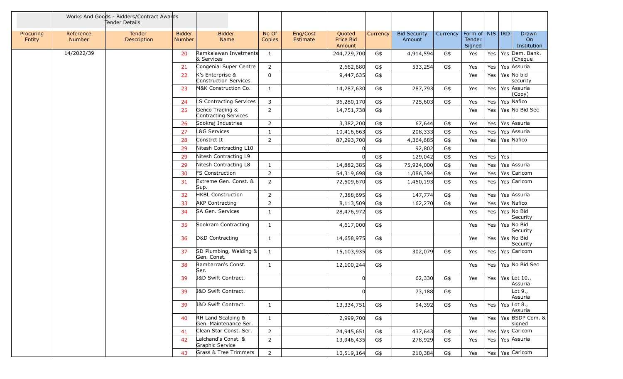|                     |                            | Works And Goods - Bidders/Contract Awards<br>Tender Details |                                |                                             |                 |                      |                               |          |                               |          |                                         |         |     |                                        |
|---------------------|----------------------------|-------------------------------------------------------------|--------------------------------|---------------------------------------------|-----------------|----------------------|-------------------------------|----------|-------------------------------|----------|-----------------------------------------|---------|-----|----------------------------------------|
| Procuring<br>Entity | Reference<br><b>Number</b> | Tender<br>Description                                       | <b>Bidder</b><br><b>Number</b> | <b>Bidder</b><br>Name                       | No Of<br>Copies | Eng/Cost<br>Estimate | Quoted<br>Price Bid<br>Amount | Currency | <b>Bid Security</b><br>Amount | Currency | Form of   NIS   IRD<br>Tender<br>Signed |         |     | Drawn<br>On<br>Institution             |
|                     | 14/2022/39                 |                                                             | 20                             | Ramkalawan Invetments<br>& Services         | $\mathbf{1}$    |                      | 244,729,700                   | G\$      | 4,914,594                     | G\$      | Yes                                     |         |     | Yes   Yes   Dem. Bank.<br>(Cheque      |
|                     |                            |                                                             | 21                             | Congenial Super Centre                      | $\overline{2}$  |                      | 2,662,680                     | G\$      | 533,254                       | G\$      | Yes                                     | Yes     |     | Yes Assuria                            |
|                     |                            |                                                             | 22                             | K's Enterprise &<br>Construction Services   | 0               |                      | 9,447,635                     | G\$      |                               |          | Yes                                     | Yes $ $ |     | Yes No bid<br>security                 |
|                     |                            |                                                             | 23                             | M&K Construction Co.                        | 1               |                      | 14,287,630                    | G\$      | 287,793                       | G\$      | Yes                                     |         |     | Yes   Yes Assuria<br>(Copy)            |
|                     |                            |                                                             | 24                             | LS Contracting Services                     | 3               |                      | 36,280,170                    | G\$      | 725,603                       | G\$      | Yes                                     | Yes     |     | Yes Nafico                             |
|                     |                            |                                                             | 25                             | Genco Trading &<br>Contracting Services     | $\overline{2}$  |                      | 14,751,738                    | G\$      |                               |          | Yes                                     | Yes     |     | Yes No Bid Sec                         |
|                     |                            |                                                             | 26                             | Sookraj Industries                          | 2               |                      | 3,382,200                     | G\$      | 67,644                        | G\$      | Yes                                     | Yes     |     | Yes Assuria                            |
|                     |                            |                                                             | 27                             | L&G Services                                | $\mathbf{1}$    |                      | 10,416,663                    | G\$      | 208,333                       | G\$      | Yes                                     | Yes     |     | Yes Assuria                            |
|                     |                            |                                                             | 28                             | Constrct It                                 | $\overline{2}$  |                      | 87,293,700                    | G\$      | 4,364,685                     | G\$      | Yes                                     | Yes     |     | Yes Nafico                             |
|                     |                            |                                                             | 29                             | Nitesh Contracting L10                      |                 |                      |                               |          | 92,802                        | G\$      |                                         |         |     |                                        |
|                     |                            |                                                             | 29                             | Nitesh Contracting L9                       |                 |                      |                               | G\$      | 129,042                       | G\$      | Yes                                     | Yes     | Yes |                                        |
|                     |                            |                                                             | 29                             | Nitesh Contracting L8                       | $\mathbf{1}$    |                      | 14,882,385                    | G\$      | 75,924,000                    | G\$      | Yes                                     | Yes     |     | Yes Assuria                            |
|                     |                            |                                                             | 30                             | <b>FS Construction</b>                      | 2               |                      | 54,319,698                    | G\$      | 1,086,394                     | G\$      | Yes                                     | Yes     |     | Yes Caricom                            |
|                     |                            |                                                             | 31                             | Extreme Gen. Const. &<br>Sup.               | $\overline{2}$  |                      | 72,509,670                    | G\$      | 1,450,193                     | G\$      | Yes                                     | Yes     |     | Yes Caricom                            |
|                     |                            |                                                             | 32                             | <b>HKBL Construction</b>                    | $\overline{2}$  |                      | 7,388,695                     | G\$      | 147,774                       | G\$      | Yes                                     | Yes $ $ |     | Yes Assuria                            |
|                     |                            |                                                             | 33                             | <b>AKP Contracting</b>                      | $\overline{2}$  |                      | 8,113,509                     | G\$      | 162,270                       | G\$      | Yes                                     | Yes     |     | Yes Nafico                             |
|                     |                            |                                                             | 34                             | SA Gen. Services                            | $\mathbf{1}$    |                      | 28,476,972                    | G\$      |                               |          | Yes                                     | Yes     |     | Yes No Bid<br>Security                 |
|                     |                            |                                                             | 35                             | Sookram Contracting                         | $\mathbf{1}$    |                      | 4,617,000                     | G\$      |                               |          | Yes                                     |         |     | Yes   Yes   No Bid<br>Security         |
|                     |                            |                                                             | 36                             | D&D Contracting                             | $\mathbf{1}$    |                      | 14,658,975                    | G\$      |                               |          | Yes                                     |         |     | Yes   Yes   No Bid<br>Security         |
|                     |                            |                                                             | 37                             | SD Plumbing, Welding &<br>Gen. Const.       | $\mathbf{1}$    |                      | 15,103,935                    | G\$      | 302,079                       | G\$      | Yes                                     | Yes $ $ |     | Yes Caricom                            |
|                     |                            |                                                             | 38                             | Rambarran's Const.<br>Ser.                  | $\mathbf{1}$    |                      | 12,100,244                    | G\$      |                               |          | Yes                                     | Yes     |     | Yes No Bid Sec                         |
|                     |                            |                                                             | 39                             | <b>J&amp;D Swift Contract.</b>              |                 |                      |                               |          | 62,330                        | G\$      | Yes                                     | Yes $ $ |     | Yes Lot 10.,<br>Assuria                |
|                     |                            |                                                             | 39                             | J&D Swift Contract.                         |                 |                      | 0                             |          | 73,188                        | G\$      |                                         |         |     | Lot 9.,<br>Assuria                     |
|                     |                            |                                                             | 39                             | <b>J&amp;D Swift Contract.</b>              | $\mathbf{1}$    |                      | 13,334,751                    | G\$      | 94,392                        | G\$      | Yes                                     |         |     | Yes   Yes $\lfloor$ Lot 8.,<br>Assuria |
|                     |                            |                                                             | 40                             | RH Land Scalping &<br>Gen. Maintenance Ser. | $\mathbf{1}$    |                      | 2,999,700                     | G\$      |                               |          | Yes                                     |         |     | Yes   Yes   BSDP Com. &<br>signed      |
|                     |                            |                                                             | 41                             | Clean Star Const. Ser.                      | $\overline{2}$  |                      | 24,945,651                    | G\$      | 437,643                       | G\$      | Yes                                     | Yes     |     | Yes Caricom                            |
|                     |                            |                                                             | 42                             | Lalchand's Const. &<br>Graphic Service      | $\overline{2}$  |                      | 13,946,435                    | G\$      | 278,929                       | G\$      | Yes                                     |         |     | Yes   Yes   Assuria                    |
|                     |                            |                                                             | 43                             | Grass & Tree Trimmers                       | $\overline{2}$  |                      | 10,519,164                    | G\$      | 210,384                       | $G\$     | Yes                                     |         |     | Yes   Yes   Caricom                    |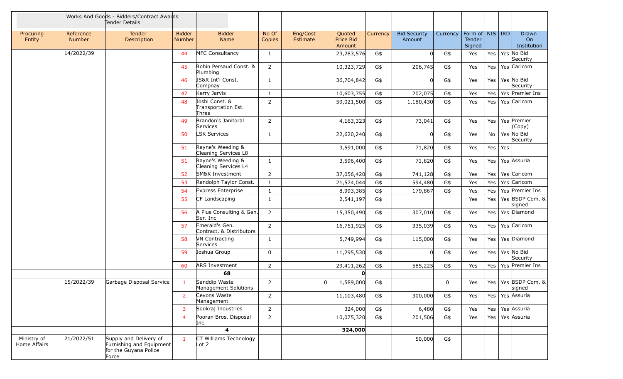|                             |                            | Works And Goods - Bidders/Contract Awards<br>Tender Details                          |                         |                                                    |                 |                             |                               |          |                               |             |                                                |     |                            |
|-----------------------------|----------------------------|--------------------------------------------------------------------------------------|-------------------------|----------------------------------------------------|-----------------|-----------------------------|-------------------------------|----------|-------------------------------|-------------|------------------------------------------------|-----|----------------------------|
| Procuring<br>Entity         | Reference<br><b>Number</b> | Tender<br>Description                                                                | <b>Bidder</b><br>Number | <b>Bidder</b><br>Name                              | No Of<br>Copies | Eng/Cost<br><b>Estimate</b> | Quoted<br>Price Bid<br>Amount | Currency | <b>Bid Security</b><br>Amount | Currency    | Form of   NIS   IRD<br><b>Tender</b><br>Signed |     | Drawn<br>On<br>Institution |
|                             | 14/2022/39                 |                                                                                      | 44                      | <b>MFC Consultancy</b>                             | $\mathbf{1}$    |                             | 23,283,576                    | G\$      | $\Omega$                      | G\$         | Yes                                            | Yes | Yes No Bid<br>Security     |
|                             |                            |                                                                                      | 45                      | Rohin Persaud Const. &<br>Plumbing                 | $\overline{2}$  |                             | 10,323,729                    | G\$      | 206,745                       | G\$         | Yes                                            | Yes | Yes Caricom                |
|                             |                            |                                                                                      | 46                      | JS&R Int'l Const.<br>Compnay                       | $\mathbf{1}$    |                             | 36,704,842                    | G\$      | $\Omega$                      | G\$         | Yes                                            | Yes | Yes No Bid<br>Security     |
|                             |                            |                                                                                      | 47                      | Kerry Jarvis                                       | $\mathbf{1}$    |                             | 10,603,755                    | G\$      | 202,075                       | G\$         | Yes                                            | Yes | Yes Premier Ins            |
|                             |                            |                                                                                      | 48                      | Joshi Const. &<br>Transportation Est.<br>Three     | $\overline{2}$  |                             | 59,021,500                    | G\$      | 1,180,430                     | G\$         | Yes                                            | Yes | Yes Caricom                |
|                             |                            |                                                                                      | 49                      | Brandon's Janitoral<br>Services                    | 2               |                             | 4,163,323                     | G\$      | 73,041                        | G\$         | Yes                                            | Yes | Yes Premier<br>(Copy)      |
|                             |                            |                                                                                      | 50                      | <b>LSK Services</b>                                | $\mathbf{1}$    |                             | 22,620,240                    | G\$      |                               | G\$         | Yes                                            | No  | Yes No Bid<br>Security     |
|                             |                            |                                                                                      | 51                      | Rayne's Weeding &<br>Cleaning Services L8          |                 |                             | 3,591,000                     | G\$      | 71,820                        | G\$         | Yes                                            |     | Yes $\vert$ Yes            |
|                             |                            |                                                                                      | 51                      | Rayne's Weeding &<br>Cleaning Services L4          | $\mathbf{1}$    |                             | 3,596,400                     | G\$      | 71,820                        | G\$         | Yes                                            | Yes | Yes Assuria                |
|                             |                            |                                                                                      | 52                      | SM&K Investment                                    | $\overline{2}$  |                             | 37,056,420                    | G\$      | 741,128                       | G\$         | Yes                                            | Yes | Yes Caricom                |
|                             |                            |                                                                                      | 53                      | Randolph Taylor Const.                             | $\mathbf{1}$    |                             | 21,574,044                    | G\$      | 594,480                       | G\$         | Yes                                            | Yes | Yes Caricom                |
|                             |                            |                                                                                      | 54                      | Express Enterprise                                 | $\mathbf{1}$    |                             | 8,993,385                     | G\$      | 179,867                       | G\$         | Yes                                            | Yes | Yes Premier Ins            |
|                             |                            |                                                                                      | 55                      | CF Landscaping                                     | $\mathbf{1}$    |                             | 2,541,197                     | G\$      |                               |             | Yes                                            | Yes | Yes BSDP Com. &<br>signed  |
|                             |                            |                                                                                      | 56                      | A Plus Consulting & Gen.<br>Ser. Inc               | $\overline{2}$  |                             | 15,350,490                    | G\$      | 307,010                       | G\$         | Yes                                            | Yes | Yes Diamond                |
|                             |                            |                                                                                      | 57                      | Emerald's Gen.<br>Contract. & Distributors         | $\overline{2}$  |                             | 16,751,925                    | G\$      | 335,039                       | G\$         | Yes                                            | Yes | Yes Caricom                |
|                             |                            |                                                                                      | 58                      | <b>VN Contracting</b><br>Services                  | $\mathbf{1}$    |                             | 5,749,994                     | G\$      | 115,000                       | G\$         | Yes                                            | Yes | Yes Diamond                |
|                             |                            |                                                                                      | 59                      | Joshua Group                                       | 0               |                             | 11,295,530                    | G\$      | $\Omega$                      | G\$         | Yes                                            | Yes | Yes No Bid<br>Security     |
|                             |                            |                                                                                      | 60                      | <b>ARS Investment</b>                              | $\overline{2}$  |                             | 29,411,262                    | G\$      | 585,225                       | G\$         | Yes                                            | Yes | Yes Premier Ins            |
|                             |                            |                                                                                      |                         | 68                                                 |                 |                             | $\mathbf{0}$                  |          |                               |             |                                                |     |                            |
|                             | 15/2022/39                 | Garbage Disposal Service                                                             | $\mathbf{1}$            | Sanddip Waste<br>Management Solutions              | $\overline{2}$  |                             | 1,589,000                     | G\$      |                               | $\mathbf 0$ | Yes                                            | Yes | Yes BSDP Com. &<br>signed  |
|                             |                            |                                                                                      | $\mathbf{2}$            | Cevons Waste<br>Management                         | $\overline{2}$  |                             | 11,103,480                    | G\$      | 300,000                       | G\$         | Yes                                            |     | Yes   Yes   Assuria        |
|                             |                            |                                                                                      | $\overline{3}$          | Sookraj Industries                                 | $\overline{2}$  |                             | 324,000                       | G\$      | 6,480                         | G\$         | Yes                                            |     | Yes   Yes Assuria          |
|                             |                            |                                                                                      | $\overline{4}$          | Pooran Bros. Disposal<br>Inc.                      | $\overline{2}$  |                             | 10,075,320                    | G\$      | 201,506                       | G\$         | Yes                                            | Yes | Yes Assuria                |
|                             |                            |                                                                                      |                         | 4                                                  |                 |                             | 324,000                       |          |                               |             |                                                |     |                            |
| Ministry of<br>Home Affairs | 21/2022/51                 | Supply and Delivery of<br>Furnishing and Equipment<br>for the Guyana Police<br>Force | $\mathbf{1}$            | CT Williams Technology<br>$\lfloor \cot 2 \rfloor$ |                 |                             |                               |          | 50,000                        | G\$         |                                                |     |                            |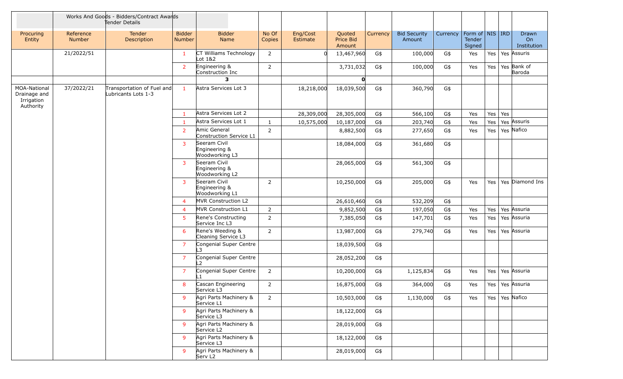|                                                         |                            | Works And Goods - Bidders/Contract Awards<br>Tender Details |                         |                                                 |                 |                      |                                      |          |                               |          |                                    |         |                            |
|---------------------------------------------------------|----------------------------|-------------------------------------------------------------|-------------------------|-------------------------------------------------|-----------------|----------------------|--------------------------------------|----------|-------------------------------|----------|------------------------------------|---------|----------------------------|
| Procuring<br>Entity                                     | Reference<br><b>Number</b> | <b>Tender</b><br>Description                                | <b>Bidder</b><br>Number | <b>Bidder</b><br>Name                           | No Of<br>Copies | Eng/Cost<br>Estimate | Quoted<br><b>Price Bid</b><br>Amount | Currency | <b>Bid Security</b><br>Amount | Currency | Form of NIS RD<br>Tender<br>Signed |         | Drawn<br>On<br>Institution |
|                                                         | 21/2022/51                 |                                                             | $\mathbf{1}$            | CT Williams Technology<br>Lot 1&2               | $\overline{2}$  |                      | 13,467,960                           | G\$      | 100,000                       | G\$      | Yes                                |         | Yes   Yes   Assuris        |
|                                                         |                            |                                                             | $\overline{2}$          | Engineering &<br>Construction Inc               | $\overline{2}$  |                      | 3,731,032                            | G\$      | 100,000                       | G\$      | Yes                                | Yes $ $ | Yes Bank of<br>Baroda      |
|                                                         |                            |                                                             |                         | з                                               |                 |                      | $\mathbf{0}$                         |          |                               |          |                                    |         |                            |
| MOA-National<br>Drainage and<br>Irrigation<br>Authority | 37/2022/21                 | Transportation of Fuel and<br>Lubricants Lots 1-3           | $\mathbf{1}$            | Astra Services Lot 3                            |                 | 18,218,000           | 18,039,500                           | G\$      | 360,790                       | G\$      |                                    |         |                            |
|                                                         |                            |                                                             | $\mathbf{1}$            | Astra Services Lot 2                            |                 | 28,309,000           | 28,305,000                           | G\$      | 566,100                       | G\$      | Yes                                | Yes $ $ | Yes                        |
|                                                         |                            |                                                             | $\mathbf{1}$            | Astra Services Lot 1                            | $\mathbf{1}$    | 10,575,000           | 10,187,000                           | G\$      | 203,740                       | G\$      | Yes                                | Yes     | Yes Assuris                |
|                                                         |                            |                                                             | $\overline{2}$          | Amic General<br>Construction Service L1         | $\overline{2}$  |                      | 8,882,500                            | G\$      | 277,650                       | G\$      | Yes                                | Yes     | Yes Nafico                 |
|                                                         |                            |                                                             | 3                       | Seeram Civil<br>Engineering &<br>Woodworking L3 |                 |                      | 18,084,000                           | G\$      | 361,680                       | G\$      |                                    |         |                            |
|                                                         |                            |                                                             | $\mathbf{3}$            | Seeram Civil<br>Engineering &<br>Woodworking L2 |                 |                      | 28,065,000                           | G\$      | 561,300                       | G\$      |                                    |         |                            |
|                                                         |                            |                                                             | $\overline{3}$          | Seeram Civil<br>Engineering &<br>Woodworking L1 | $\overline{2}$  |                      | 10,250,000                           | G\$      | 205,000                       | G\$      | Yes                                |         | Yes   Yes   Diamond Ins    |
|                                                         |                            |                                                             | $\overline{4}$          | MVR Construction L2                             |                 |                      | 26,610,460                           | G\$      | 532,209                       | G\$      |                                    |         |                            |
|                                                         |                            |                                                             | $\overline{4}$          | MVR Construction L1                             | $\overline{2}$  |                      | 9,852,500                            | G\$      | 197,050                       | G\$      | Yes                                | Yes     | Yes Assuria                |
|                                                         |                            |                                                             | 5                       | Rene's Constructing<br>Service Inc L3           | $\overline{2}$  |                      | 7,385,050                            | G\$      | 147,701                       | G\$      | Yes                                | Yes     | Yes Assuria                |
|                                                         |                            |                                                             | 6                       | Rene's Weeding &<br>Cleaning Service L3         | $\overline{2}$  |                      | 13,987,000                           | G\$      | 279,740                       | G\$      | Yes                                | Yes $ $ | Yes Assuria                |
|                                                         |                            |                                                             | $\overline{7}$          | Congenial Super Centre<br>L3                    |                 |                      | 18,039,500                           | G\$      |                               |          |                                    |         |                            |
|                                                         |                            |                                                             | $\overline{7}$          | Congenial Super Centre<br>L2                    |                 |                      | 28,052,200                           | G\$      |                               |          |                                    |         |                            |
|                                                         |                            |                                                             | $\overline{7}$          | Congenial Super Centre<br>l 1                   | $\overline{2}$  |                      | 10,200,000                           | G\$      | 1,125,834                     | G\$      | Yes                                | Yes $ $ | Yes Assuria                |
|                                                         |                            |                                                             | 8                       | Cascan Engineering<br>Service L3                | $\overline{2}$  |                      | 16,875,000                           | G\$      | 364,000                       | G\$      | Yes                                |         | Yes   Yes   Assuria        |
|                                                         |                            |                                                             | 9                       | Agri Parts Machinery &<br>Service L1            | $2^{\circ}$     |                      | 10,503,000                           | G\$      | 1,130,000                     | G\$      | Yes                                |         | Yes   Yes   Nafico         |
|                                                         |                            |                                                             | 9                       | Agri Parts Machinery &<br>Service L3            |                 |                      | 18,122,000                           | G\$      |                               |          |                                    |         |                            |
|                                                         |                            |                                                             | 9                       | Agri Parts Machinery &<br>Service L2            |                 |                      | 28,019,000                           | G\$      |                               |          |                                    |         |                            |
|                                                         |                            |                                                             | 9                       | Agri Parts Machinery &<br>Service L3            |                 |                      | 18,122,000                           | G\$      |                               |          |                                    |         |                            |
|                                                         |                            |                                                             | 9                       | Agri Parts Machinery &<br>Serv L <sub>2</sub>   |                 |                      | 28,019,000                           | G\$      |                               |          |                                    |         |                            |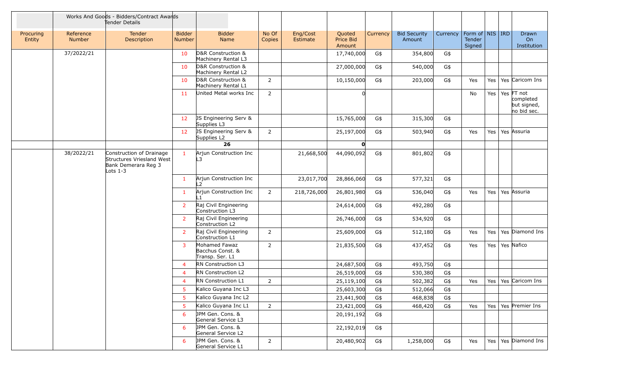|                     |                            | Works And Goods - Bidders/Contract Awards<br>Tender Details                                |                         |                                                      |                 |                      |                                      |          |                               |          |                                           |     |                                                             |
|---------------------|----------------------------|--------------------------------------------------------------------------------------------|-------------------------|------------------------------------------------------|-----------------|----------------------|--------------------------------------|----------|-------------------------------|----------|-------------------------------------------|-----|-------------------------------------------------------------|
| Procuring<br>Entity | Reference<br><b>Number</b> | Tender<br>Description                                                                      | <b>Bidder</b><br>Number | <b>Bidder</b><br>Name                                | No Of<br>Copies | Eng/Cost<br>Estimate | Quoted<br><b>Price Bid</b><br>Amount | Currency | <b>Bid Security</b><br>Amount | Currency | Form of   NIS   IRD  <br>Tender<br>Signed |     | Drawn<br>On<br>Institution                                  |
|                     | 37/2022/21                 |                                                                                            | 10                      | D&R Construction &<br>Machinery Rental L3            |                 |                      | 17,740,000                           | G\$      | 354,800                       | G\$      |                                           |     |                                                             |
|                     |                            |                                                                                            | 10                      | D&R Construction &<br>Machinery Rental L2            |                 |                      | 27,000,000                           | G\$      | 540,000                       | G\$      |                                           |     |                                                             |
|                     |                            |                                                                                            | 10                      | D&R Construction &<br>Machinery Rental L1            | $\overline{2}$  |                      | 10,150,000                           | G\$      | 203,000                       | G\$      | Yes                                       | Yes | Yes Caricom Ins                                             |
|                     |                            |                                                                                            | 11                      | United Metal works Inc                               | $\overline{2}$  |                      |                                      |          |                               |          | No                                        |     | Yes $Yes$ FT not<br>completed<br>but signed,<br>no bid sec. |
|                     |                            |                                                                                            | 12                      | JS Engineering Serv &<br>Supplies L3                 |                 |                      | 15,765,000                           | G\$      | 315,300                       | G\$      |                                           |     |                                                             |
|                     |                            |                                                                                            | 12 <sub>2</sub>         | JS Engineering Serv &<br>Supplies L2                 | $\overline{2}$  |                      | 25,197,000                           | G\$      | 503,940                       | G\$      | Yes                                       | Yes | Yes Assuria                                                 |
|                     |                            |                                                                                            |                         | 26                                                   |                 |                      | $\mathbf{O}$                         |          |                               |          |                                           |     |                                                             |
|                     | 38/2022/21                 | Construction of Drainage<br>Structures Vriesland West<br>Bank Demerara Reg 3<br>Lots $1-3$ | $\mathbf{1}$            | Arjun Construction Inc<br>L3                         |                 | 21,668,500           | 44,090,092                           | G\$      | 801,802                       | G\$      |                                           |     |                                                             |
|                     |                            |                                                                                            | $\mathbf{1}$            | Arjun Construction Inc<br>12                         |                 | 23,017,700           | 28,866,060                           | G\$      | 577,321                       | G\$      |                                           |     |                                                             |
|                     |                            |                                                                                            | $\mathbf{1}$            | Arjun Construction Inc                               | $\overline{2}$  | 218,726,000          | 26,801,980                           | G\$      | 536,040                       | G\$      | Yes                                       | Yes | Yes Assuria                                                 |
|                     |                            |                                                                                            | $\overline{2}$          | Raj Civil Engineering<br>Construction L3             |                 |                      | 24,614,000                           | G\$      | 492,280                       | G\$      |                                           |     |                                                             |
|                     |                            |                                                                                            | $\overline{2}$          | Raj Civil Engineering<br>Construction L2             |                 |                      | 26,746,000                           | G\$      | 534,920                       | G\$      |                                           |     |                                                             |
|                     |                            |                                                                                            | $\overline{2}$          | Raj Civil Engineering<br>Construction L1             | $\overline{2}$  |                      | 25,609,000                           | G\$      | 512,180                       | G\$      | Yes                                       | Yes | Yes Diamond Ins                                             |
|                     |                            |                                                                                            | 3                       | Mohamed Fawaz<br>Bacchus Const. &<br>Transp. Ser. L1 | $\overline{2}$  |                      | 21,835,500                           | G\$      | 437,452                       | G\$      | Yes                                       |     | Yes   Yes   Nafico                                          |
|                     |                            |                                                                                            | $\overline{4}$          | RN Construction L3                                   |                 |                      | 24,687,500                           | G\$      | 493,750                       | G\$      |                                           |     |                                                             |
|                     |                            |                                                                                            | $\overline{4}$          | RN Construction L2                                   |                 |                      | 26,519,000                           | G\$      | 530,380                       | G\$      |                                           |     |                                                             |
|                     |                            |                                                                                            | 4                       | RN Construction L1                                   | $\overline{2}$  |                      | 25,119,100                           | G\$      | 502,382                       | G\$      | Yes                                       | Yes | Yes Caricom Ins                                             |
|                     |                            |                                                                                            | 5                       | Kalico Guyana Inc L3                                 |                 |                      | 25,603,300                           | G\$      | 512,066                       | G\$      |                                           |     |                                                             |
|                     |                            |                                                                                            | 5                       | Kalico Guyana Inc L2                                 |                 |                      | 23,441,900                           | G\$      | 468,838                       | G\$      |                                           |     |                                                             |
|                     |                            |                                                                                            | 5                       | Kalico Guyana Inc L1                                 | $2^{\circ}$     |                      | 23,421,000                           | G\$      | 468,420                       | G\$      | Yes                                       |     | Yes   Yes   Premier Ins                                     |
|                     |                            |                                                                                            | 6                       | JPM Gen. Cons. &<br>General Service L3               |                 |                      | 20,191,192                           | G\$      |                               |          |                                           |     |                                                             |
|                     |                            |                                                                                            | 6                       | JPM Gen. Cons. &<br>General Service L2               |                 |                      | 22,192,019                           | G\$      |                               |          |                                           |     |                                                             |
|                     |                            |                                                                                            | 6                       | JPM Gen. Cons. &<br>General Service L1               | $\overline{2}$  |                      | 20,480,902                           | G\$      | 1,258,000                     | G\$      | Yes                                       |     | Yes   Yes   Diamond Ins                                     |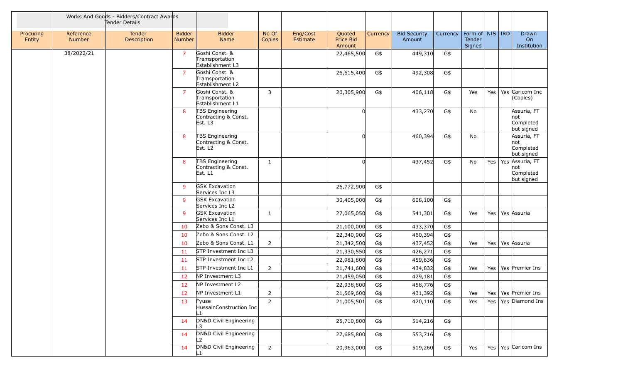|                     |                            | Works And Goods - Bidders/Contract Awards<br>Tender Details |                                |                                                                |                 |                      |                               |          |                               |          |                                                     |     |                 |                                               |
|---------------------|----------------------------|-------------------------------------------------------------|--------------------------------|----------------------------------------------------------------|-----------------|----------------------|-------------------------------|----------|-------------------------------|----------|-----------------------------------------------------|-----|-----------------|-----------------------------------------------|
| Procuring<br>Entity | Reference<br><b>Number</b> | Tender<br>Description                                       | <b>Bidder</b><br><b>Number</b> | <b>Bidder</b><br>Name                                          | No Of<br>Copies | Eng/Cost<br>Estimate | Quoted<br>Price Bid<br>Amount | Currency | <b>Bid Security</b><br>Amount | Currency | Form of $\vert$ NIS $\vert$ IRD<br>Tender<br>Signed |     |                 | Drawn<br>On<br>Institution                    |
|                     | 38/2022/21                 |                                                             | $\overline{7}$                 | Goshi Const. &<br>Tramsportation<br>Establishment L3           |                 |                      | 22,465,500                    | G\$      | 449,310                       | G\$      |                                                     |     |                 |                                               |
|                     |                            |                                                             | $\overline{7}$                 | Goshi Const. &<br>Tramsportation<br>Establishment L2           |                 |                      | 26,615,400                    | G\$      | 492,308                       | G\$      |                                                     |     |                 |                                               |
|                     |                            |                                                             | $\overline{7}$                 | Goshi Const. &<br>Tramsportation<br>Establishment L1           | 3               |                      | 20,305,900                    | G\$      | 406,118                       | G\$      | Yes                                                 | Yes |                 | Yes Caricom Inc<br>(Copies)                   |
|                     |                            |                                                             | 8                              | TBS Engineering<br>Contracting & Const.<br>Est. L3             |                 |                      |                               |          | 433,270                       | G\$      | No                                                  |     |                 | Assuria, FT<br>not<br>Completed<br>but signed |
|                     |                            |                                                             | 8                              | TBS Engineering<br>Contracting & Const.<br>Est. L <sub>2</sub> |                 |                      | U                             |          | 460,394                       | G\$      | No                                                  |     |                 | Assuria, FT<br>not<br>Completed<br>but signed |
|                     |                            |                                                             | 8                              | TBS Engineering<br>Contracting & Const.<br>Est. L1             | $\mathbf{1}$    |                      |                               |          | 437,452                       | G\$      | No                                                  |     | Yes $\vert$ Yes | Assuria, FT<br>not<br>Completed<br>but signed |
|                     |                            |                                                             | 9                              | <b>GSK Excavation</b><br>Services Inc L3                       |                 |                      | 26,772,900                    | G\$      |                               |          |                                                     |     |                 |                                               |
|                     |                            |                                                             | $\overline{9}$                 | <b>GSK Excavation</b><br>Services Inc L2                       |                 |                      | 30,405,000                    | G\$      | 608,100                       | G\$      |                                                     |     |                 |                                               |
|                     |                            |                                                             | 9                              | <b>GSK Excavation</b><br>Services Inc L1                       | 1               |                      | 27,065,050                    | G\$      | 541,301                       | G\$      | Yes                                                 | Yes |                 | Yes Assuria                                   |
|                     |                            |                                                             | 10                             | Zebo & Sons Const. L3                                          |                 |                      | 21,100,000                    | G\$      | 433,370                       | G\$      |                                                     |     |                 |                                               |
|                     |                            |                                                             | 10                             | Zebo & Sons Const. L2                                          |                 |                      | 22,340,900                    | G\$      | 460,394                       | G\$      |                                                     |     |                 |                                               |
|                     |                            |                                                             | 10                             | Zebo & Sons Const. L1                                          | $\overline{2}$  |                      | 21,342,500                    | G\$      | 437,452                       | G\$      | Yes                                                 | Yes |                 | Yes Assuria                                   |
|                     |                            |                                                             | 11                             | STP Investment Inc L3                                          |                 |                      | 21,330,550                    | G\$      | 426,271                       | G\$      |                                                     |     |                 |                                               |
|                     |                            |                                                             | 11                             | STP Investment Inc L2                                          |                 |                      | 22,981,800                    | G\$      | 459,636                       | G\$      |                                                     |     |                 |                                               |
|                     |                            |                                                             | 11                             | STP Investment Inc L1                                          | $\overline{2}$  |                      | 21,741,600                    | G\$      | 434,832                       | G\$      | Yes                                                 | Yes |                 | Yes Premier Ins                               |
|                     |                            |                                                             | 12                             | NP Investment L3                                               |                 |                      | 21,459,050                    | G\$      | 429,181                       | G\$      |                                                     |     |                 |                                               |
|                     |                            |                                                             | 12                             | NP Investment L2                                               |                 |                      | 22,938,800                    | G\$      | 458,776                       | G\$      |                                                     |     |                 |                                               |
|                     |                            |                                                             | 12                             | NP Investment L1                                               | $\overline{2}$  |                      | 21,569,600                    | G\$      | 431,392                       | $G$ \$   | Yes                                                 |     |                 | Yes   Yes   Premier Ins                       |
|                     |                            |                                                             | 13                             | Fyuse<br>HussainConstruction Inc<br>L1.                        | $\overline{2}$  |                      | 21,005,501                    | G\$      | 420,110                       | G\$      | Yes                                                 |     |                 | Yes   Yes   Diamond Ins                       |
|                     |                            |                                                             | 14                             | DN&D Civil Engineering                                         |                 |                      | 25,710,800                    | G\$      | 514,216                       | G\$      |                                                     |     |                 |                                               |
|                     |                            |                                                             | 14                             | DN&D Civil Engineering<br>L2                                   |                 |                      | 27,685,800                    | G\$      | 553,716                       | G\$      |                                                     |     |                 |                                               |
|                     |                            |                                                             | 14                             | DN&D Civil Engineering                                         | $\overline{2}$  |                      | 20,963,000                    | G\$      | 519,260                       | G\$      | Yes                                                 |     |                 | Yes   Yes   Caricom Ins                       |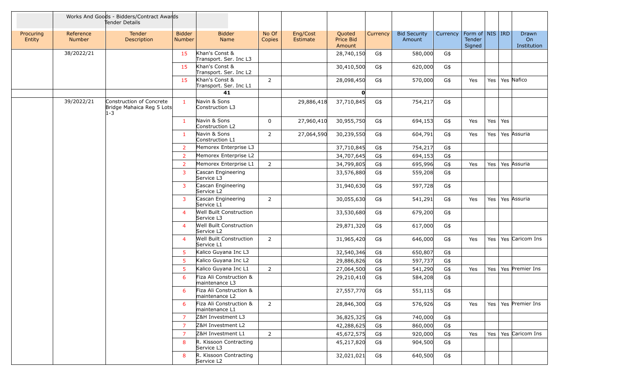|                     | Works And Goods - Bidders/Contract Awards<br>Tender Details |                                                                  |                                |                                           |                 |                      |                               |          |                               |          |                                         |         |                 |                                        |
|---------------------|-------------------------------------------------------------|------------------------------------------------------------------|--------------------------------|-------------------------------------------|-----------------|----------------------|-------------------------------|----------|-------------------------------|----------|-----------------------------------------|---------|-----------------|----------------------------------------|
| Procuring<br>Entity | Reference<br><b>Number</b>                                  | Tender<br>Description                                            | <b>Bidder</b><br><b>Number</b> | <b>Bidder</b><br>Name                     | No Of<br>Copies | Eng/Cost<br>Estimate | Quoted<br>Price Bid<br>Amount | Currency | <b>Bid Security</b><br>Amount | Currency | Form of   NIS   IRD<br>Tender<br>Signed |         |                 | Drawn<br>O <sub>n</sub><br>Institution |
|                     | 38/2022/21                                                  |                                                                  | 15                             | Khan's Const &<br>Transport. Ser. Inc L3  |                 |                      | 28,740,150                    | G\$      | 580,000                       | G\$      |                                         |         |                 |                                        |
|                     |                                                             |                                                                  | 15                             | Khan's Const &<br>Transport. Ser. Inc L2  |                 |                      | 30,410,500                    | G\$      | 620,000                       | G\$      |                                         |         |                 |                                        |
|                     |                                                             |                                                                  | 15                             | Khan's Const &<br>Transport. Ser. Inc L1  | $\overline{2}$  |                      | 28,098,450                    | G\$      | 570,000                       | G\$      | Yes                                     | Yes $ $ |                 | Yes Nafico                             |
|                     |                                                             |                                                                  |                                | 41                                        |                 |                      | O                             |          |                               |          |                                         |         |                 |                                        |
|                     | 39/2022/21                                                  | Construction of Concrete<br>Bridge Mahaica Reg 5 Lots<br>$1 - 3$ | $\mathbf{1}$                   | Navin & Sons<br>Construction L3           |                 | 29,886,418           | 37,710,845                    | G\$      | 754,217                       | G\$      |                                         |         |                 |                                        |
|                     |                                                             |                                                                  | 1                              | Navin & Sons<br>Construction L2           | 0               | 27,960,410           | 30,955,750                    | G\$      | 694,153                       | G\$      | Yes                                     |         | Yes $\vert$ Yes |                                        |
|                     |                                                             |                                                                  | 1                              | Navin & Sons<br>Construction L1           | $2^{\circ}$     | 27,064,590           | 30,239,550                    | G\$      | 604,791                       | G\$      | Yes                                     | Yes $ $ |                 | Yes Assuria                            |
|                     |                                                             |                                                                  | $\overline{2}$                 | Memorex Enterprise L3                     |                 |                      | 37,710,845                    | G\$      | 754,217                       | G\$      |                                         |         |                 |                                        |
|                     |                                                             |                                                                  | $\overline{2}$                 | Memorex Enterprise L2                     |                 |                      | 34,707,645                    | G\$      | 694,153                       | G\$      |                                         |         |                 |                                        |
|                     |                                                             |                                                                  | $\overline{2}$                 | Memorex Enterprise L1                     | $2^{\circ}$     |                      | 34,799,805                    | G\$      | 695,996                       | G\$      | Yes                                     | Yes $ $ |                 | Yes Assuria                            |
|                     |                                                             |                                                                  | $\overline{3}$                 | Cascan Engineering<br>Service L3          |                 |                      | 33,576,880                    | G\$      | 559,208                       | G\$      |                                         |         |                 |                                        |
|                     |                                                             |                                                                  | $\overline{3}$                 | Cascan Engineering<br>Service L2          |                 |                      | 31,940,630                    | G\$      | 597,728                       | G\$      |                                         |         |                 |                                        |
|                     |                                                             |                                                                  | $\overline{3}$                 | Cascan Engineering<br>Service L1          | $\overline{2}$  |                      | 30,055,630                    | G\$      | 541,291                       | G\$      | Yes                                     | Yes $ $ |                 | Yes Assuria                            |
|                     |                                                             |                                                                  | $\overline{4}$                 | Well Built Construction<br>Service L3     |                 |                      | 33,530,680                    | G\$      | 679,200                       | G\$      |                                         |         |                 |                                        |
|                     |                                                             |                                                                  | $\overline{4}$                 | Well Built Construction<br>Service L2     |                 |                      | 29,871,320                    | G\$      | 617,000                       | G\$      |                                         |         |                 |                                        |
|                     |                                                             |                                                                  | $\overline{4}$                 | Well Built Construction<br>Service L1     | $\overline{2}$  |                      | 31,965,420                    | G\$      | 646,000                       | G\$      | Yes                                     |         |                 | Yes   Yes   Caricom Ins                |
|                     |                                                             |                                                                  | 5 <sub>5</sub>                 | Kalico Guyana Inc L3                      |                 |                      | 32,540,346                    | G\$      | 650,807                       | G\$      |                                         |         |                 |                                        |
|                     |                                                             |                                                                  | 5 <sub>5</sub>                 | Kalico Guyana Inc L2                      |                 |                      | 29,886,826                    | G\$      | 597,737                       | G\$      |                                         |         |                 |                                        |
|                     |                                                             |                                                                  | 5 <sub>o</sub>                 | Kalico Guyana Inc L1                      | $\overline{2}$  |                      | 27,064,500                    | G\$      | 541,290                       | G\$      | Yes                                     |         |                 | Yes   Yes   Premier Ins                |
|                     |                                                             |                                                                  | 6                              | Fiza Ali Construction &<br>maintenance L3 |                 |                      | 29,210,410                    | G\$      | 584,208                       | G\$      |                                         |         |                 |                                        |
|                     |                                                             |                                                                  |                                | Fiza Ali Construction &<br>maintenance L2 |                 |                      | 27,557,770                    | G\$      | 551,115                       | G\$      |                                         |         |                 |                                        |
|                     |                                                             |                                                                  | 6                              | Fiza Ali Construction &<br>maintenance L1 | $\overline{2}$  |                      | 28,846,300                    | G\$      | 576,926                       | G\$      | Yes                                     |         |                 | Yes   Yes   Premier Ins                |
|                     |                                                             |                                                                  | 7                              | Z&H Investment L3                         |                 |                      | 36,825,325                    | G\$      | 740,000                       | G\$      |                                         |         |                 |                                        |
|                     |                                                             |                                                                  | $\overline{7}$                 | Z&H Investment L2                         |                 |                      | 42,288,625                    | G\$      | 860,000                       | G\$      |                                         |         |                 |                                        |
|                     |                                                             |                                                                  | $\overline{7}$                 | Z&H Investment L1                         | $\overline{2}$  |                      | 45,672,575                    | G\$      | 920,000                       | G\$      | Yes                                     |         |                 | Yes   Yes   Caricom Ins                |
|                     |                                                             |                                                                  | 8                              | R. Kissoon Contracting<br>Service L3      |                 |                      | 45,217,820                    | G\$      | 904,500                       | G\$      |                                         |         |                 |                                        |
|                     |                                                             |                                                                  | 8                              | R. Kissoon Contracting<br>Service L2      |                 |                      | 32,021,021                    | G\$      | 640,500                       | G\$      |                                         |         |                 |                                        |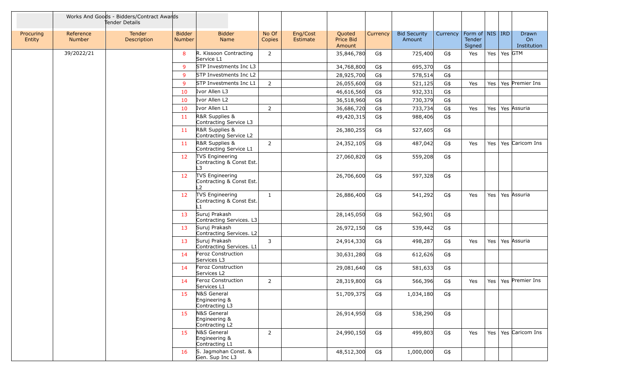|                     |                            | Works And Goods - Bidders/Contract Awards<br>Tender Details |                         |                                                   |                 |                      |                               |          |                               |          |                                         |         |               |                            |
|---------------------|----------------------------|-------------------------------------------------------------|-------------------------|---------------------------------------------------|-----------------|----------------------|-------------------------------|----------|-------------------------------|----------|-----------------------------------------|---------|---------------|----------------------------|
| Procuring<br>Entity | Reference<br><b>Number</b> | Tender<br>Description                                       | <b>Bidder</b><br>Number | <b>Bidder</b><br>Name                             | No Of<br>Copies | Eng/Cost<br>Estimate | Quoted<br>Price Bid<br>Amount | Currency | <b>Bid Security</b><br>Amount | Currency | Form of   NIS   IRD<br>Tender<br>Signed |         |               | Drawn<br>On<br>Institution |
|                     | 39/2022/21                 |                                                             | 8                       | R. Kissoon Contracting<br>Service L1              | $\overline{2}$  |                      | 35,846,780                    | G\$      | 725,400                       | G\$      | Yes                                     |         | Yes   Yes GTM |                            |
|                     |                            |                                                             | $\overline{9}$          | STP Investments Inc L3                            |                 |                      | 34,768,800                    | G\$      | 695,370                       | G\$      |                                         |         |               |                            |
|                     |                            |                                                             | 9                       | STP Investments Inc L2                            |                 |                      | 28,925,700                    | G\$      | 578,514                       | G\$      |                                         |         |               |                            |
|                     |                            |                                                             | 9                       | STP Investments Inc L1                            | $2^{\circ}$     |                      | 26,055,600                    | G\$      | 521,125                       | G\$      | Yes                                     | Yes     |               | Yes Premier Ins            |
|                     |                            |                                                             | 10                      | Ivor Allen L3                                     |                 |                      | 46,616,560                    | G\$      | 932,331                       | G\$      |                                         |         |               |                            |
|                     |                            |                                                             | 10                      | Ivor Allen L2                                     |                 |                      | 36,518,960                    | G\$      | 730,379                       | G\$      |                                         |         |               |                            |
|                     |                            |                                                             | 10                      | Ivor Allen L1                                     | $\overline{2}$  |                      | 36,686,720                    | G\$      | 733,734                       | G\$      | Yes                                     | Yes $ $ |               | Yes Assuria                |
|                     |                            |                                                             | 11                      | R&R Supplies &<br>Contracting Service L3          |                 |                      | 49,420,315                    | G\$      | 988,406                       | G\$      |                                         |         |               |                            |
|                     |                            |                                                             | <b>11</b>               | R&R Supplies &<br>Contracting Service L2          |                 |                      | 26,380,255                    | G\$      | 527,605                       | G\$      |                                         |         |               |                            |
|                     |                            |                                                             | <b>11</b>               | R&R Supplies &<br>Contracting Service L1          | $\overline{2}$  |                      | 24,352,105                    | G\$      | 487,042                       | G\$      | Yes                                     | Yes $ $ |               | Yes Caricom Ins            |
|                     |                            |                                                             | 12                      | TVS Engineering<br>Contracting & Const Est.<br>L3 |                 |                      | 27,060,820                    | G\$      | 559,208                       | G\$      |                                         |         |               |                            |
|                     |                            |                                                             | 12                      | TVS Engineering<br>Contracting & Const Est.<br>L2 |                 |                      | 26,706,600                    | G\$      | 597,328                       | G\$      |                                         |         |               |                            |
|                     |                            |                                                             | 12                      | TVS Engineering<br>Contracting & Const Est.       | 1               |                      | 26,886,400                    | G\$      | 541,292                       | G\$      | Yes                                     |         |               | Yes   Yes   Assuria        |
|                     |                            |                                                             | 13                      | Suruj Prakash<br>Contracting Services. L3         |                 |                      | 28,145,050                    | G\$      | 562,901                       | G\$      |                                         |         |               |                            |
|                     |                            |                                                             | 13                      | Suruj Prakash<br>Contracting Services. L2         |                 |                      | 26,972,150                    | G\$      | 539,442                       | G\$      |                                         |         |               |                            |
|                     |                            |                                                             | 13                      | Suruj Prakash<br>Contracting Services. L1         | 3               |                      | 24,914,330                    | G\$      | 498,287                       | G\$      | Yes                                     |         |               | Yes   Yes   Assuria        |
|                     |                            |                                                             | 14                      | Feroz Construction<br>Services L3                 |                 |                      | 30,631,280                    | G\$      | 612,626                       | G\$      |                                         |         |               |                            |
|                     |                            |                                                             | 14                      | Feroz Construction<br>Services L2                 |                 |                      | 29,081,640                    | G\$      | 581,633                       | G\$      |                                         |         |               |                            |
|                     |                            |                                                             | 14                      | Feroz Construction<br>Services L1                 | $\overline{2}$  |                      | 28,319,800                    | G\$      | 566,396                       | G\$      | Yes                                     | Yes $ $ |               | Yes Premier Ins            |
|                     |                            |                                                             | 15                      | N&S General<br>Engineering &<br>Contracting L3    |                 |                      | 51,709,375                    | G\$      | 1,034,180                     | G\$      |                                         |         |               |                            |
|                     |                            |                                                             | 15                      | N&S General<br>Engineering &<br>Contracting L2    |                 |                      | 26,914,950                    | G\$      | 538,290                       | G\$      |                                         |         |               |                            |
|                     |                            |                                                             | 15                      | N&S General<br>Engineering &<br>Contracting L1    | $\overline{2}$  |                      | 24,990,150                    | G\$      | 499,803                       | G\$      | Yes                                     |         |               | Yes   Yes   Caricom Ins    |
|                     |                            |                                                             | 16                      | S. Jagmohan Const. &<br>Gen. Sup Inc L3           |                 |                      | 48,512,300                    | G\$      | 1,000,000                     | G\$      |                                         |         |               |                            |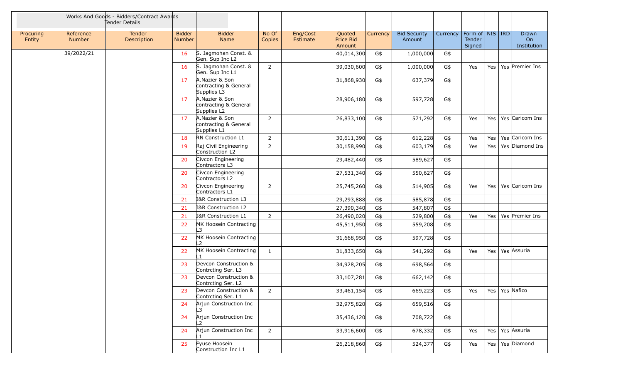|                     |                            | Works And Goods - Bidders/Contract Awards<br>Tender Details |                                |                                                        |                 |                      |                                      |          |                               |          |                                           |         |                            |
|---------------------|----------------------------|-------------------------------------------------------------|--------------------------------|--------------------------------------------------------|-----------------|----------------------|--------------------------------------|----------|-------------------------------|----------|-------------------------------------------|---------|----------------------------|
| Procuring<br>Entity | Reference<br><b>Number</b> | Tender<br>Description                                       | <b>Bidder</b><br><b>Number</b> | <b>Bidder</b><br>Name                                  | No Of<br>Copies | Eng/Cost<br>Estimate | Quoted<br><b>Price Bid</b><br>Amount | Currency | <b>Bid Security</b><br>Amount | Currency | Form of   NIS   IRD  <br>Tender<br>Signed |         | Drawn<br>On<br>Institution |
|                     | 39/2022/21                 |                                                             | 16                             | S. Jagmohan Const. &<br>Gen. Sup Inc L2                |                 |                      | 40,014,300                           | G\$      | 1,000,000                     | G\$      |                                           |         |                            |
|                     |                            |                                                             | 16                             | S. Jagmohan Const. &<br>Gen. Sup Inc L1                | $2^{\circ}$     |                      | 39,030,600                           | G\$      | 1,000,000                     | G\$      | Yes                                       | Yes $ $ | Yes Premier Ins            |
|                     |                            |                                                             | 17                             | A.Nazier & Son<br>contracting & General<br>Supplies L3 |                 |                      | 31,868,930                           | G\$      | 637,379                       | G\$      |                                           |         |                            |
|                     |                            |                                                             | 17                             | A.Nazier & Son<br>contracting & General<br>Supplies L2 |                 |                      | 28,906,180                           | G\$      | 597,728                       | G\$      |                                           |         |                            |
|                     |                            |                                                             | 17                             | A.Nazier & Son<br>contracting & General<br>Supplies L1 | $\overline{2}$  |                      | 26,833,100                           | G\$      | 571,292                       | G\$      | Yes                                       |         | Yes   Yes   Caricom Ins    |
|                     |                            |                                                             | 18                             | RN Construction L1                                     | $\overline{2}$  |                      | 30,611,390                           | G\$      | 612,228                       | G\$      | Yes                                       | Yes     | Yes Caricom Ins            |
|                     |                            |                                                             | 19                             | Raj Civil Engineering<br>Construction L2               | $\overline{2}$  |                      | 30,158,990                           | G\$      | 603,179                       | G\$      | Yes                                       | Yes     | Yes Diamond Ins            |
|                     |                            |                                                             | 20                             | Civcon Engineering<br>Contractors L3                   |                 |                      | 29,482,440                           | G\$      | 589,627                       | G\$      |                                           |         |                            |
|                     |                            |                                                             | 20                             | Civcon Engineering<br>Contractors L2                   |                 |                      | 27,531,340                           | G\$      | 550,627                       | G\$      |                                           |         |                            |
|                     |                            |                                                             | 20                             | Civcon Engineering<br>Contractors L1                   | $2^{\circ}$     |                      | 25,745,260                           | G\$      | 514,905                       | G\$      | Yes                                       |         | Yes   Yes   Caricom Ins    |
|                     |                            |                                                             | 21                             | I&R Construction L3                                    |                 |                      | 29,293,888                           | G\$      | 585,878                       | G\$      |                                           |         |                            |
|                     |                            |                                                             | 21                             | I&R Construction L2                                    |                 |                      | 27,390,340                           | G\$      | 547,807                       | G\$      |                                           |         |                            |
|                     |                            |                                                             | 21                             | I&R Construction L1                                    | $2^{\circ}$     |                      | 26,490,020                           | G\$      | 529,800                       | G\$      | Yes                                       |         | Yes   Yes   Premier Ins    |
|                     |                            |                                                             | 22                             | MK Hoosein Contracting<br>I 3                          |                 |                      | 45,511,950                           | G\$      | 559,208                       | G\$      |                                           |         |                            |
|                     |                            |                                                             | 22                             | MK Hoosein Contracting<br>L2                           |                 |                      | 31,668,950                           | G\$      | 597,728                       | G\$      |                                           |         |                            |
|                     |                            |                                                             | 22                             | MK Hoosein Contracting<br>ll 1                         | $\mathbf{1}$    |                      | 31,833,650                           | G\$      | 541,292                       | G\$      | Yes                                       |         | Yes   Yes   Assuria        |
|                     |                            |                                                             | 23                             | Devcon Construction &<br>Contrcting Ser. L3            |                 |                      | 34,928,205                           | G\$      | 698,564                       | G\$      |                                           |         |                            |
|                     |                            |                                                             | 23                             | Devcon Construction &<br>Contrcting Ser. L2            |                 |                      | 33,107,281                           | G\$      | 662,142                       | G\$      |                                           |         |                            |
|                     |                            |                                                             | 23                             | Devcon Construction &<br>Contrcting Ser. L1            | $\overline{2}$  |                      | 33,461,154                           | G\$      | 669,223                       | G\$      | Yes                                       |         | Yes   Yes Nafico           |
|                     |                            |                                                             | 24                             | Arjun Construction Inc<br>ll 3                         |                 |                      | 32,975,820                           | G\$      | 659,516                       | G\$      |                                           |         |                            |
|                     |                            |                                                             | 24                             | Arjun Construction Inc<br>12                           |                 |                      | 35,436,120                           | G\$      | 708,722                       | G\$      |                                           |         |                            |
|                     |                            |                                                             | 24                             | Arjun Construction Inc<br>ll 1                         | $2^{\circ}$     |                      | 33,916,600                           | G\$      | 678,332                       | G\$      | Yes                                       |         | Yes   Yes   Assuria        |
|                     |                            |                                                             | 25                             | Fyuse Hoosein<br>Construction Inc L1                   |                 |                      | 26,218,860                           | G\$      | 524,377                       | G\$      | Yes                                       |         | Yes   Yes   Diamond        |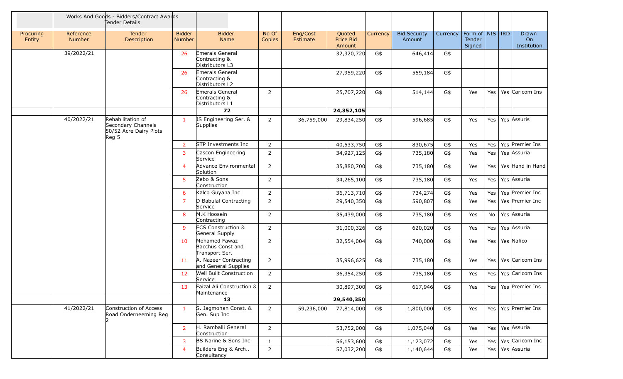|                     | Works And Goods - Bidders/Contract Awards<br>Tender Details |                                                                            |                                |                                                      |                 |                      |                               |          |                               |          |                                         |         |                                        |
|---------------------|-------------------------------------------------------------|----------------------------------------------------------------------------|--------------------------------|------------------------------------------------------|-----------------|----------------------|-------------------------------|----------|-------------------------------|----------|-----------------------------------------|---------|----------------------------------------|
| Procuring<br>Entity | Reference<br>Number                                         | Tender<br>Description                                                      | <b>Bidder</b><br><b>Number</b> | <b>Bidder</b><br>Name                                | No Of<br>Copies | Eng/Cost<br>Estimate | Quoted<br>Price Bid<br>Amount | Currency | <b>Bid Security</b><br>Amount | Currency | Form of   NIS   IRD<br>Tender<br>Signed |         | Drawn<br>O <sub>n</sub><br>Institution |
|                     | 39/2022/21                                                  |                                                                            | 26                             | Emerals General<br>Contracting &<br>Distributors L3  |                 |                      | 32,320,720                    | G\$      | 646,414                       | G\$      |                                         |         |                                        |
|                     |                                                             |                                                                            | 26                             | Emerals General<br>Contracting &<br>Distributors L2  |                 |                      | 27,959,220                    | G\$      | 559,184                       | G\$      |                                         |         |                                        |
|                     |                                                             |                                                                            | 26                             | Emerals General<br>Contracting &<br>Distributors L1  | $\overline{2}$  |                      | 25,707,220                    | G\$      | 514,144                       | G\$      | Yes                                     |         | Yes   Yes   Caricom Ins                |
|                     |                                                             |                                                                            |                                | 72                                                   |                 |                      | 24,352,105                    |          |                               |          |                                         |         |                                        |
|                     | 40/2022/21                                                  | Rehabilitation of<br>Secondary Channels<br>50/52 Acre Dairy Plots<br>Reg 5 | $\mathbf{1}$                   | JS Engineering Ser. &<br>Supplies                    | $\overline{2}$  | 36,759,000           | 29,834,250                    | G\$      | 596,685                       | G\$      | Yes                                     |         | Yes   Yes   Assuris                    |
|                     |                                                             |                                                                            | $\overline{2}$                 | STP Investments Inc                                  | $\overline{2}$  |                      | 40,533,750                    | G\$      | 830,675                       | G\$      | Yes                                     |         | Yes   Yes   Premier Ins                |
|                     |                                                             |                                                                            | 3                              | Cascon Engineering<br>Service                        | $\overline{2}$  |                      | 34,927,125                    | G\$      | 735,180                       | G\$      | Yes                                     | Yes $ $ | Yes Assuria                            |
|                     |                                                             |                                                                            | $\overline{4}$                 | Advance Environmental<br>Solution                    | $\overline{2}$  |                      | 35,880,700                    | G\$      | 735,180                       | G\$      | Yes                                     |         | Yes   Yes   Hand in Hand               |
|                     |                                                             |                                                                            | 5 <sup>5</sup>                 | Zebo & Sons<br>Construction                          | $\overline{2}$  |                      | 34,265,100                    | G\$      | 735,180                       | G\$      | Yes                                     |         | Yes   Yes   Assuria                    |
|                     |                                                             |                                                                            | 6                              | Kalco Guyana Inc                                     | $\overline{2}$  |                      | 36,713,710                    | G\$      | 734,274                       | G\$      | Yes                                     |         | Yes   Yes   Premier Inc                |
|                     |                                                             |                                                                            | $\overline{7}$                 | D Babulal Contracting<br>Service                     | $\overline{2}$  |                      | 29,540,350                    | G\$      | 590,807                       | G\$      | Yes                                     | Yes $ $ | Yes Premier Inc                        |
|                     |                                                             |                                                                            | 8                              | M.K Hoosein<br>Contracting                           | $\overline{2}$  |                      | 35,439,000                    | G\$      | 735,180                       | G\$      | Yes                                     | No      | Yes Assuria                            |
|                     |                                                             |                                                                            | 9                              | <b>ECS Construction &amp;</b><br>General Supply      | $\overline{2}$  |                      | 31,000,326                    | G\$      | 620,020                       | G\$      | Yes                                     | Yes $ $ | Yes Assuria                            |
|                     |                                                             |                                                                            | 10                             | Mohamed Fawaz<br>Bacchus Const and<br>Transport Ser. | $\overline{2}$  |                      | 32,554,004                    | G\$      | 740,000                       | G\$      | Yes                                     |         | Yes   Yes   Nafico                     |
|                     |                                                             |                                                                            | 11                             | A. Nazeer Contracting<br>and General Supplies        | $\overline{2}$  |                      | 35,996,625                    | G\$      | 735,180                       | G\$      | Yes                                     | Yes $ $ | Yes Caricom Ins                        |
|                     |                                                             |                                                                            | 12                             | Well Built Construction<br>Service                   | $\overline{2}$  |                      | 36,354,250                    | G\$      | 735,180                       | G\$      | Yes                                     | Yes $ $ | Yes Caricom Ins                        |
|                     |                                                             |                                                                            | 13                             | Faizal Ali Construction &<br>Maintenance             | $\overline{2}$  |                      | 30,897,300                    | G\$      | 617,946                       | G\$      | Yes                                     |         | Yes   Yes   Premier Ins                |
|                     |                                                             |                                                                            |                                | 13                                                   |                 |                      | 29,540,350                    |          |                               |          |                                         |         |                                        |
|                     | 41/2022/21                                                  | Construction of Access<br>Road Onderneeming Reg                            | $\mathbf{1}$                   | S. Jagmohan Const. &<br>Gen. Sup Inc                 | $2^{\circ}$     | 59,236,000           | 77,814,000                    | G\$      | 1,800,000                     | G\$      | Yes                                     |         | Yes   Yes   Premier Ins                |
|                     |                                                             |                                                                            | $\overline{2}$                 | H. Ramballi General<br>Construction                  | $\overline{2}$  |                      | 53,752,000                    | G\$      | 1,075,040                     | G\$      | Yes                                     |         | Yes   Yes Assuria                      |
|                     |                                                             |                                                                            | 3                              | BS Narine & Sons Inc                                 | 1               |                      | 56,153,600                    | G\$      | 1,123,072                     | G\$      | Yes                                     |         | Yes   Yes   Caricom Inc                |
|                     |                                                             |                                                                            | $\overline{4}$                 | Builders Eng & Arch<br>Consultancy                   | $\overline{2}$  |                      | 57,032,200                    | G\$      | 1,140,644                     | G\$      | Yes                                     | Yes $ $ | Yes Assuria                            |